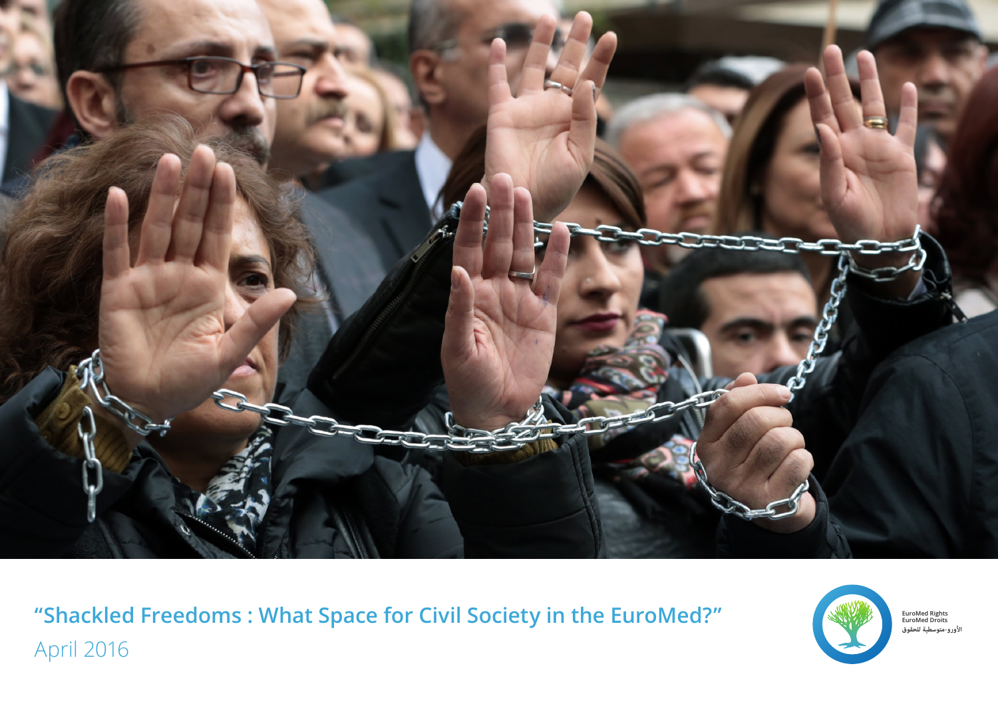

**للحقوق متوسطية-الأورو" Shackled Freedoms : What Space for Civil Society in the EuroMed?"** April 2016



**EuroMed Rights EuroMed Droits**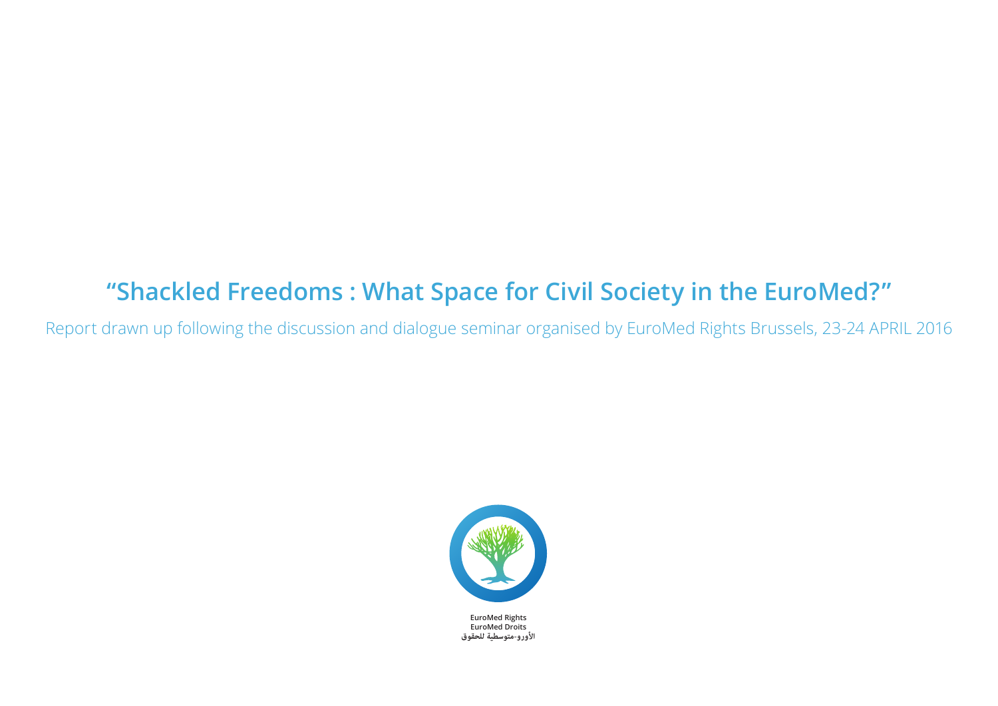## **"Shackled Freedoms : What Space for Civil Society in the EuroMed?"**

Report drawn up following the discussion and dialogue seminar organised by EuroMed Rights Brussels, 23-24 APRIL 2016



**الأورو-متوسطية للحقوق**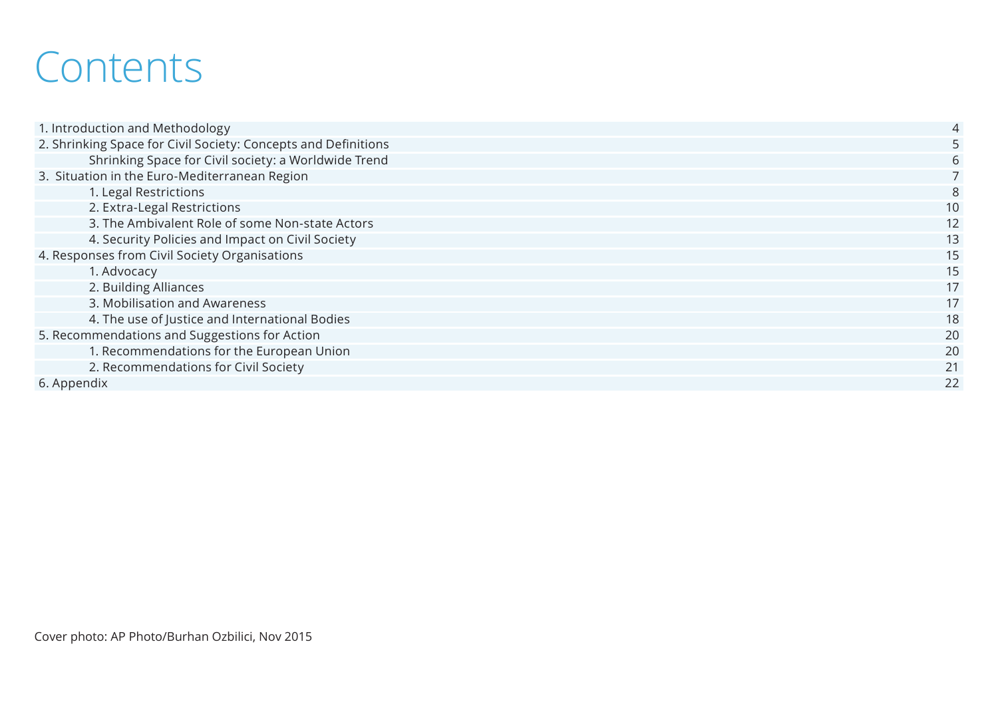## **Contents**

| 1. Introduction and Methodology                                | $\overline{4}$ |
|----------------------------------------------------------------|----------------|
| 2. Shrinking Space for Civil Society: Concepts and Definitions |                |
| Shrinking Space for Civil society: a Worldwide Trend           |                |
| 3. Situation in the Euro-Mediterranean Region                  |                |
| 1. Legal Restrictions                                          |                |
| 2. Extra-Legal Restrictions                                    | 10             |
| 3. The Ambivalent Role of some Non-state Actors                | 12             |
| 4. Security Policies and Impact on Civil Society               | 13             |
| 4. Responses from Civil Society Organisations                  | 15             |
| 1. Advocacy                                                    | 15             |
| 2. Building Alliances                                          | 17             |
| 3. Mobilisation and Awareness                                  | 17             |
| 4. The use of Justice and International Bodies                 | 18             |
| 5. Recommendations and Suggestions for Action                  | 20             |
| 1. Recommendations for the European Union                      | 20             |
| 2. Recommendations for Civil Society                           | 21             |
| 6. Appendix                                                    | 22             |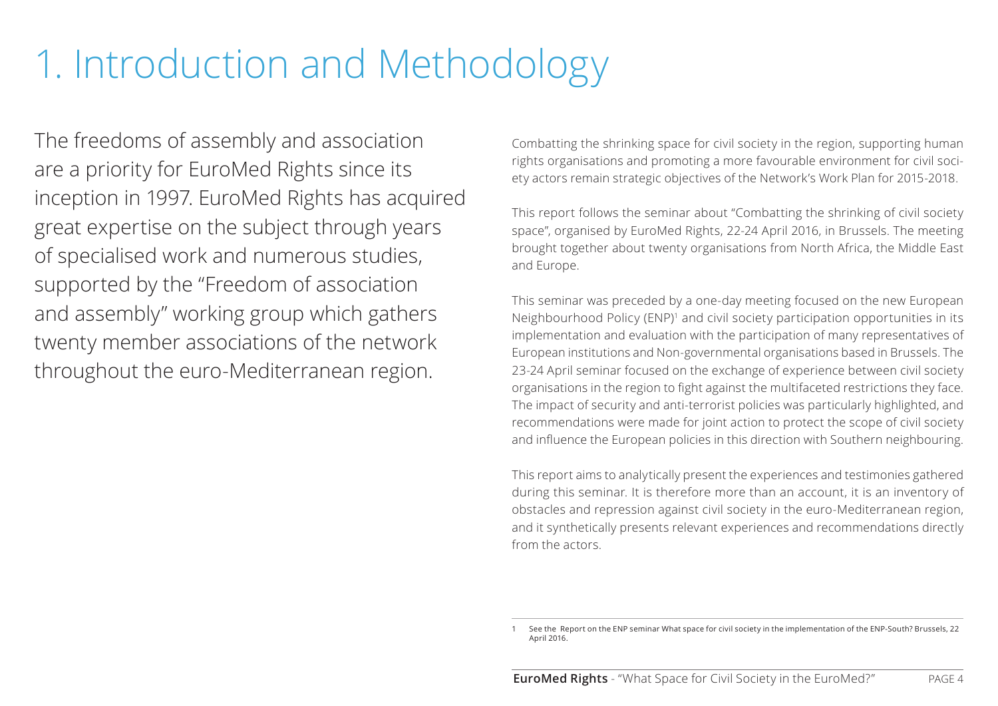# <span id="page-3-0"></span>1. Introduction and Methodology

The freedoms of assembly and association are a priority for EuroMed Rights since its inception in 1997. EuroMed Rights has acquired great expertise on the subject through years of specialised work and numerous studies, supported by the "Freedom of association and assembly" working group which gathers twenty member associations of the network throughout the euro-Mediterranean region.

Combatting the shrinking space for civil society in the region, supporting human rights organisations and promoting a more favourable environment for civil society actors remain strategic objectives of the Network's Work Plan for 2015-2018.

This report follows the seminar about "Combatting the shrinking of civil society space", organised by EuroMed Rights, 22-24 April 2016, in Brussels. The meeting brought together about twenty organisations from North Africa, the Middle East and Europe.

This seminar was preceded by a one-day meeting focused on the new European Neighbourhood Policy (ENP)<sup>1</sup> and civil society participation opportunities in its implementation and evaluation with the participation of many representatives of European institutions and Non-governmental organisations based in Brussels. The 23-24 April seminar focused on the exchange of experience between civil society organisations in the region to fight against the multifaceted restrictions they face. The impact of security and anti-terrorist policies was particularly highlighted, and recommendations were made for joint action to protect the scope of civil society and influence the European policies in this direction with Southern neighbouring.

This report aims to analytically present the experiences and testimonies gathered during this seminar. It is therefore more than an account, it is an inventory of obstacles and repression against civil society in the euro-Mediterranean region, and it synthetically presents relevant experiences and recommendations directly from the actors.

<sup>1</sup> See the Report on the ENP seminar What space for civil society in the implementation of the ENP-South? Brussels, 22 April 2016.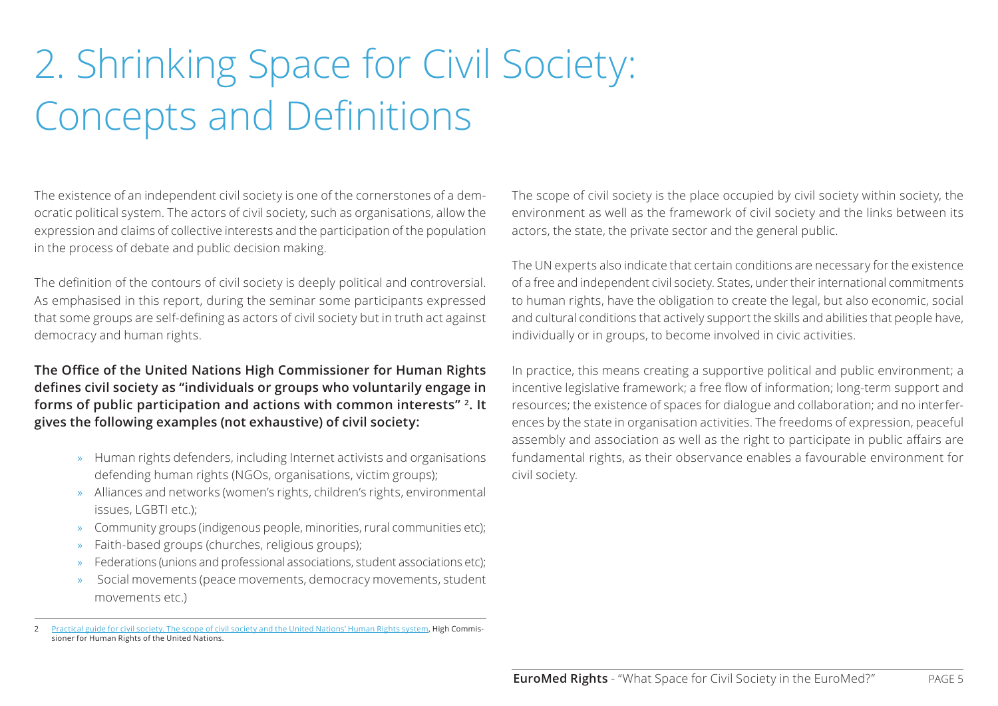# <span id="page-4-0"></span>2. Shrinking Space for Civil Society: Concepts and Definitions

The existence of an independent civil society is one of the cornerstones of a democratic political system. The actors of civil society, such as organisations, allow the expression and claims of collective interests and the participation of the population in the process of debate and public decision making.

The definition of the contours of civil society is deeply political and controversial. As emphasised in this report, during the seminar some participants expressed that some groups are self-defining as actors of civil society but in truth act against democracy and human rights.

**The Office of the United Nations High Commissioner for Human Rights defines civil society as "individuals or groups who voluntarily engage in forms of public participation and actions with common interests" 2. It gives the following examples (not exhaustive) of civil society:**

- » Human rights defenders, including Internet activists and organisations defending human rights (NGOs, organisations, victim groups);
- » Alliances and networks (women's rights, children's rights, environmental issues, LGBTI etc.);
- » Community groups (indigenous people, minorities, rural communities etc);
- » Faith-based groups (churches, religious groups);
- » Federations (unions and professional associations, student associations etc);
- » Social movements (peace movements, democracy movements, student movements etc.)

The scope of civil society is the place occupied by civil society within society, the environment as well as the framework of civil society and the links between its actors, the state, the private sector and the general public.

The UN experts also indicate that certain conditions are necessary for the existence of a free and independent civil society. States, under their international commitments to human rights, have the obligation to create the legal, but also economic, social and cultural conditions that actively support the skills and abilities that people have, individually or in groups, to become involved in civic activities.

In practice, this means creating a supportive political and public environment; a incentive legislative framework; a free flow of information; long-term support and resources; the existence of spaces for dialogue and collaboration; and no interferences by the state in organisation activities. The freedoms of expression, peaceful assembly and association as well as the right to participate in public affairs are fundamental rights, as their observance enables a favourable environment for civil society.

<sup>2</sup> [Practical guide for civil society. The scope of civil society and the United Nations' Human Rights system](http://www.ohchr.org/Documents/AboutUs/CivilSociety/CS_space_UNHRSystem_Guide_fr.pdf), High Commissioner for Human Rights of the United Nations.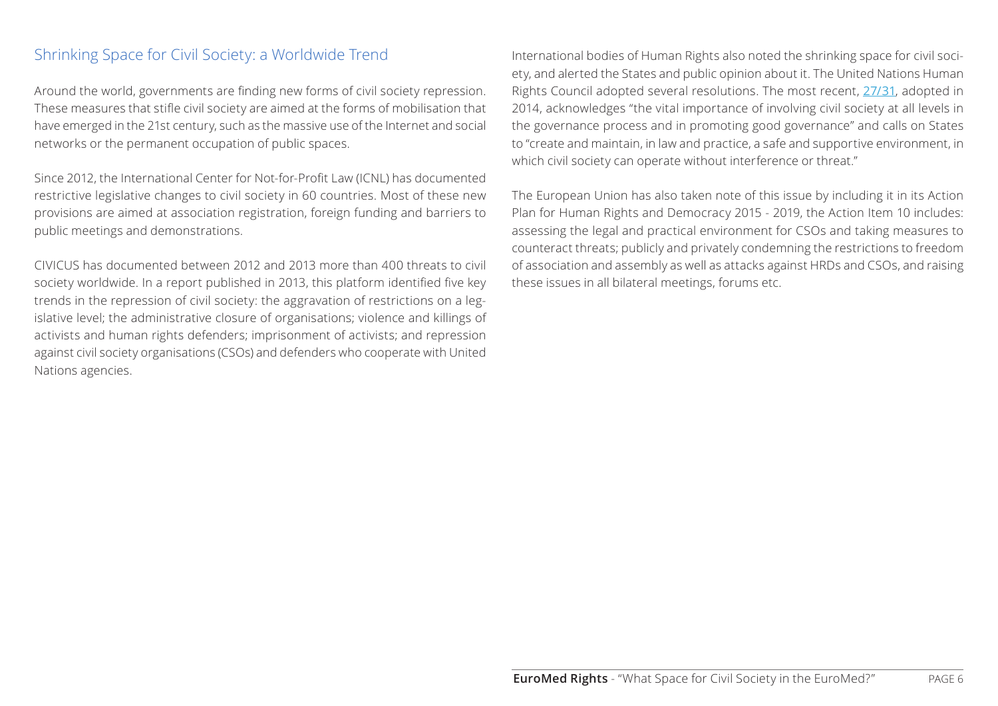## <span id="page-5-0"></span>Shrinking Space for Civil Society: a Worldwide Trend

Around the world, governments are finding new forms of civil society repression. These measures that stifle civil society are aimed at the forms of mobilisation that have emerged in the 21st century, such as the massive use of the Internet and social networks or the permanent occupation of public spaces.

Since 2012, [the International Center for Not-for-Profit Law \(ICNL\)](http://www.icnl.org/research/monitor/index.html) has documented restrictive legislative changes to civil society in 60 countries. Most of these new provisions are aimed at association registration, foreign funding and barriers to public meetings and demonstrations.

CIVICUS has documented between 2012 and 2013 more than 400 threats to civil society worldwide. In a report published in 2013, this platform identified five key trends in the repression of civil society: the aggravation of restrictions on a legislative level; the administrative closure of organisations; violence and killings of activists and human rights defenders; imprisonment of activists; and repression against civil society organisations (CSOs) and defenders who cooperate with United Nations agencies.

International bodies of Human Rights also noted the shrinking space for civil society, and alerted the States and public opinion about it. The United Nations Human Rights Council adopted several resolutions. The most recent, [27/31](http://ap.ohchr.org/documents/F/HRC/d_res_dec/A_HRC_27_L27_rev1.pdf), adopted in 2014, acknowledges "the vital importance of involving civil society at all levels in the governance process and in promoting good governance" and calls on States to "create and maintain, in law and practice, a safe and supportive environment, in which civil society can operate without interference or threat."

The European Union has also taken note of this issue by including it in its Action Plan for Human Rights and Democracy 2015 - 2019, the Action Item 10 includes: assessing the legal and practical environment for CSOs and taking measures to counteract threats; publicly and privately condemning the restrictions to freedom of association and assembly as well as attacks against HRDs and CSOs, and raising these issues in all bilateral meetings, forums etc.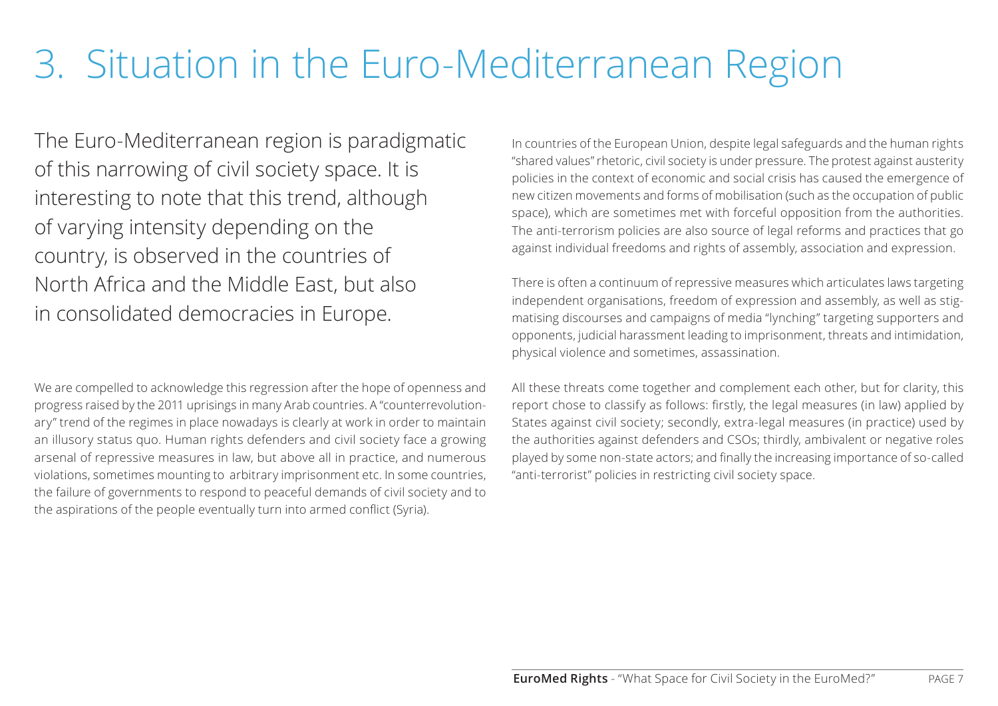## <span id="page-6-0"></span>3. Situation in the Euro-Mediterranean Region

The Euro-Mediterranean region is paradigmatic of this narrowing of civil society space. It is interesting to note that this trend, although of varying intensity depending on the country, is observed in the countries of North Africa and the Middle East, but also in consolidated democracies in Europe.

We are compelled to acknowledge this regression after the hope of openness and progress raised by the 2011 uprisings in many Arab countries. A "counterrevolutionary" trend of the regimes in place nowadays is clearly at work in order to maintain an illusory status quo. Human rights defenders and civil society face a growing arsenal of repressive measures in law, but above all in practice, and numerous violations, sometimes mounting to arbitrary imprisonment etc. In some countries, the failure of governments to respond to peaceful demands of civil society and to the aspirations of the people eventually turn into armed conflict (Syria).

In countries of the European Union, despite legal safeguards and the human rights "shared values" rhetoric, civil society is under pressure. The protest against austerity policies in the context of economic and social crisis has caused the emergence of new citizen movements and forms of mobilisation (such as the occupation of public space), which are sometimes met with forceful opposition from the authorities. The anti-terrorism policies are also source of legal reforms and practices that go against individual freedoms and rights of assembly, association and expression.

There is often a continuum of repressive measures which articulates laws targeting independent organisations, freedom of expression and assembly, as well as stigmatising discourses and campaigns of media "lynching" targeting supporters and opponents, judicial harassment leading to imprisonment, threats and intimidation, physical violence and sometimes, assassination.

All these threats come together and complement each other, but for clarity, this report chose to classify as follows: firstly, the legal measures (in law) applied by States against civil society; secondly, extra-legal measures (in practice) used by the authorities against defenders and CSOs; thirdly, ambivalent or negative roles played by some non-state actors; and finally the increasing importance of so-called "anti-terrorist" policies in restricting civil society space.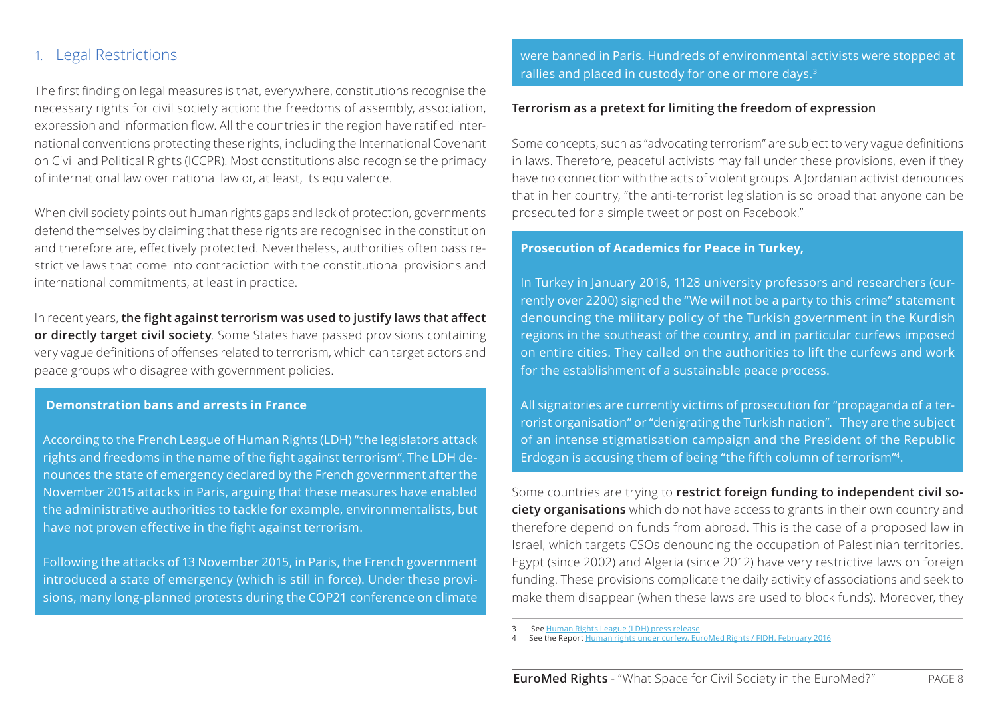### <span id="page-7-0"></span>1. Legal Restrictions

The first finding on legal measures is that, everywhere, constitutions recognise the necessary rights for civil society action: the freedoms of assembly, association, expression and information flow. All the countries in the region have ratified international conventions protecting these rights, including the International Covenant on Civil and Political Rights (ICCPR). Most constitutions also recognise the primacy of international law over national law or, at least, its equivalence.

When civil society points out human rights gaps and lack of protection, governments defend themselves by claiming that these rights are recognised in the constitution and therefore are, effectively protected. Nevertheless, authorities often pass restrictive laws that come into contradiction with the constitutional provisions and international commitments, at least in practice.

In recent years, **the fight against terrorism was used to justify laws that affect or directly target civil society**. Some States have passed provisions containing very vague definitions of offenses related to terrorism, which can target actors and peace groups who disagree with government policies.

#### **Demonstration bans and arrests in France**

According to the French League of Human Rights (LDH) "the legislators attack rights and freedoms in the name of the fight against terrorism". The LDH denounces the state of emergency declared by the French government after the November 2015 attacks in Paris, arguing that these measures have enabled the administrative authorities to tackle for example, environmentalists, but have not proven effective in the fight against terrorism.

Following the attacks of 13 November 2015, in Paris, the French government introduced a state of emergency (which is still in force). Under these provisions, many long-planned protests during the COP21 conference on climate were banned in Paris. Hundreds of environmental activists were stopped at rallies and placed in custody for one or more days.3

### **Terrorism as a pretext for limiting the freedom of expression**

Some concepts, such as "advocating terrorism" are subject to very vague definitions in laws. Therefore, peaceful activists may fall under these provisions, even if they have no connection with the acts of violent groups. A Jordanian activist denounces that in her country, "the anti-terrorist legislation is so broad that anyone can be prosecuted for a simple tweet or post on Facebook."

### **Prosecution of Academics for Peace in Turkey,**

In Turkey in January 2016, 1128 university professors and researchers (currently over 2200) signed the "We will not be a party to this crime" statement denouncing the military policy of the Turkish government in the Kurdish regions in the southeast of the country, and in particular curfews imposed on entire cities. They called on the authorities to lift the curfews and work for the establishment of a sustainable peace process.

All signatories are currently victims of prosecution for "propaganda of a terrorist organisation" or "denigrating the Turkish nation". They are the subject of an intense stigmatisation campaign and the President of the Republic Erdogan is accusing them of being "the fifth column of terrorism"4.

Some countries are trying to **restrict foreign funding to independent civil society organisations** which do not have access to grants in their own country and therefore depend on funds from abroad. This is the case of a proposed law in Israel, which targets CSOs denouncing the occupation of Palestinian territories. Egypt (since 2002) and Algeria (since 2012) have very restrictive laws on foreign funding. These provisions complicate the daily activity of associations and seek to make them disappear (when these laws are used to block funds). Moreover, they

<sup>3</sup> See <u>[Human Rights League \(LDH\) press release](http://www.ldh-france.org/les-interpellations-arbitraires-ca-suffit/)</u>.<br>4 See the Report <u>[Human rights under curfew, EuroMed Rights / FIDH, February 2016](http://euromedrights.org/wp-content/uploads/2016/06/TURQUIE-Les-droits-humains-sous-couvre-feu-FR.pdf)</u>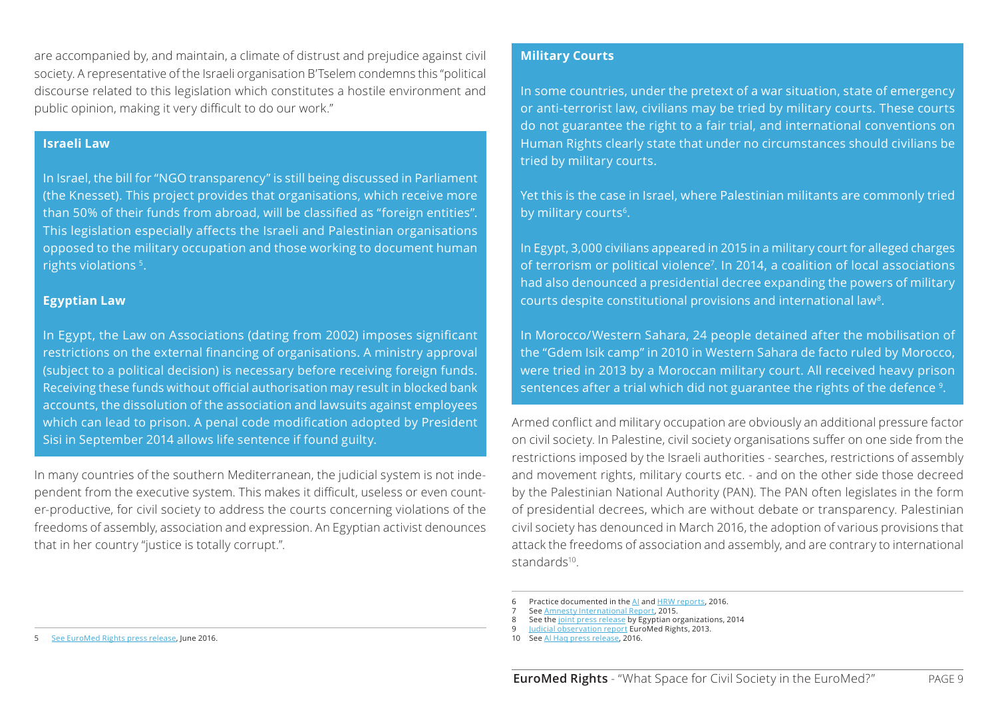are accompanied by, and maintain, a climate of distrust and prejudice against civil society. A representative of the Israeli organisation B'Tselem condemns this "political discourse related to this legislation which constitutes a hostile environment and public opinion, making it very difficult to do our work."

### **Israeli Law**

In Israel, the bill for "NGO transparency" is still being discussed in Parliament (the Knesset). This project provides that organisations, which receive more than 50% of their funds from abroad, will be classified as "foreign entities". This legislation especially affects the Israeli and Palestinian organisations opposed to the military occupation and those working to document human rights violations <sup>5</sup>.

### **Egyptian Law**

In Egypt, the Law on Associations (dating from 2002) imposes significant restrictions on the external financing of organisations. A ministry approval (subject to a political decision) is necessary before receiving foreign funds. Receiving these funds without official authorisation may result in blocked bank accounts, the dissolution of the association and lawsuits against employees which can lead to prison. A penal code modification adopted by President Sisi in September 2014 allows life sentence if found guilty.

In many countries of the southern Mediterranean, the judicial system is not independent from the executive system. This makes it difficult, useless or even counter-productive, for civil society to address the courts concerning violations of the freedoms of assembly, association and expression. An Egyptian activist denounces that in her country "justice is totally corrupt.".

### **Military Courts**

In some countries, under the pretext of a war situation, state of emergency or anti-terrorist law, civilians may be tried by military courts. These courts do not guarantee the right to a fair trial, and international conventions on Human Rights clearly state that under no circumstances should civilians be tried by military courts.

Yet this is the case in Israel, where Palestinian militants are commonly tried by military courts<sup>6</sup>.

In Egypt, 3,000 civilians appeared in 2015 in a military court for alleged charges of terrorism or political violence7 . In 2014, a coalition of local associations had also denounced a presidential decree expanding the powers of military courts despite constitutional provisions and international law<sup>8</sup>.

In Morocco/Western Sahara, 24 people detained after the mobilisation of the "Gdem Isik camp" in 2010 in Western Sahara de facto ruled by Morocco, were tried in 2013 by a Moroccan military court. All received heavy prison sentences after a trial which did not guarantee the rights of the defence 9.

Armed conflict and military occupation are obviously an additional pressure factor on civil society. In Palestine, civil society organisations suffer on one side from the restrictions imposed by the Israeli authorities - searches, restrictions of assembly and movement rights, military courts etc. - and on the other side those decreed by the Palestinian National Authority (PAN). The PAN often legislates in the form of presidential decrees, which are without debate or transparency. Palestinian civil society has denounced in March 2016, the adoption of various provisions that attack the freedoms of association and assembly, and are contrary to international standards<sup>10</sup>

- 8 See the [joint press release](http://www.cihrs.org/?p=9639&lang=en) by Egyptian organizations, 2014
- 9 [Judicial observation report](http://euromedrights.org/fr/publication/maroc-fin-aux-proces-iniques-des-tribunaux-militaires/) EuroMed Rights, 2013.
- 10 See Al Hag press release, 2016.

<sup>6</sup> Practice documented in the [AI](https://www.amnesty.org/fr/countries/middle-east-and-north-africa/israel-and-occupied-palestinian-territories/report-israel-and-occupied-palestinian-territories/) and [HRW reports,](https://www.hrw.org/world-report/2016/country-chapters/israel/palestine) 2016.

<sup>7</sup> See [Amnesty International Report](https://www.amnesty.org/fr/countries/middle-east-and-north-africa/egypt/report-egypt/), 2015.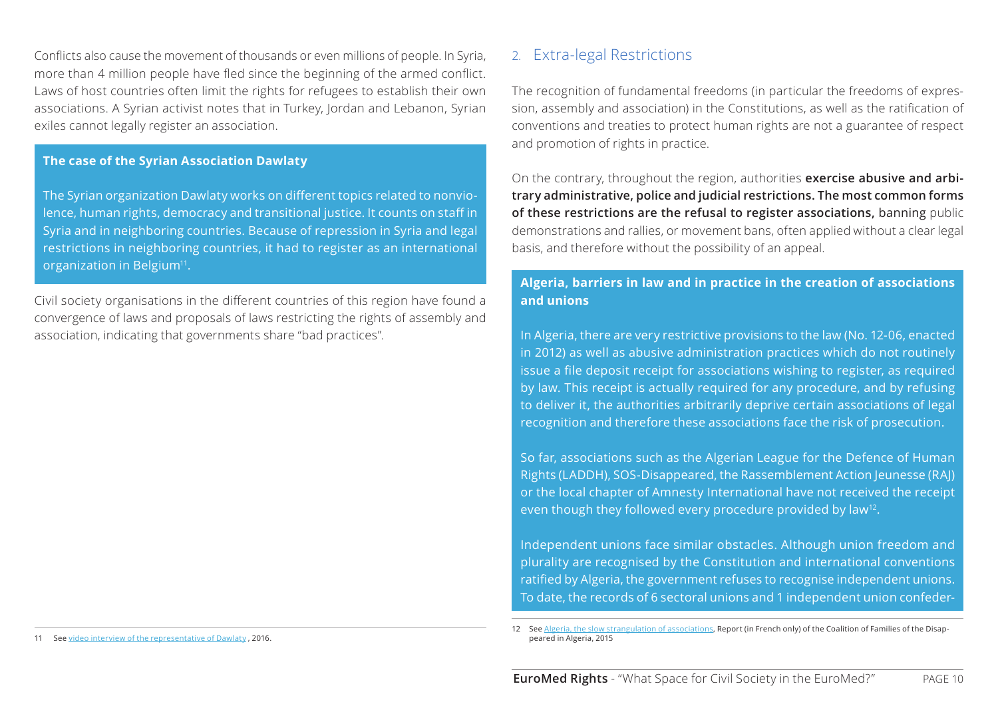<span id="page-9-0"></span>Conflicts also cause the movement of thousands or even millions of people. In Syria, more than 4 million people have fled since the beginning of the armed conflict. Laws of host countries often limit the rights for refugees to establish their own associations. A Syrian activist notes that in Turkey, Jordan and Lebanon, Syrian exiles cannot legally register an association.

### **The case of the Syrian Association Dawlaty**

The Syrian organization Dawlaty works on different topics related to nonviolence, human rights, democracy and transitional justice. It counts on staff in Syria and in neighboring countries. Because of repression in Syria and legal restrictions in neighboring countries, it had to register as an international organization in Belgium<sup>11</sup>.

Civil society organisations in the different countries of this region have found a convergence of laws and proposals of laws restricting the rights of assembly and association, indicating that governments share "bad practices".

#### See [video interview of the representative of Dawlaty](https://vimeo.com/165993330) , 2016.

### 2. Extra-legal Restrictions

The recognition of fundamental freedoms (in particular the freedoms of expression, assembly and association) in the Constitutions, as well as the ratification of conventions and treaties to protect human rights are not a guarantee of respect and promotion of rights in practice.

On the contrary, throughout the region, authorities **exercise abusive and arbitrary administrative, police and judicial restrictions. The most common forms of these restrictions are the refusal to register associations,** banning public demonstrations and rallies, or movement bans, often applied without a clear legal basis, and therefore without the possibility of an appeal.

### **Algeria, barriers in law and in practice in the creation of associations and unions**

In Algeria, there are very restrictive provisions to the law (No. 12-06, enacted in 2012) as well as abusive administration practices which do not routinely issue a file deposit receipt for associations wishing to register, as required by law. This receipt is actually required for any procedure, and by refusing to deliver it, the authorities arbitrarily deprive certain associations of legal recognition and therefore these associations face the risk of prosecution.

So far, associations such as the Algerian League for the Defence of Human Rights (LADDH), SOS-Disappeared, the Rassemblement Action Jeunesse (RAJ) or the local chapter of Amnesty International have not received the receipt even though they followed every procedure provided by law<sup>12</sup>.

Independent unions face similar obstacles. Although union freedom and plurality are recognised by the Constitution and international conventions ratified by Algeria, the government refuses to recognise independent unions. To date, the records of 6 sectoral unions and 1 independent union confeder-

See [Algeria, the slow strangulation of associations](http://www.algerie-disparus.org/app/uploads/2015/12/PUBLICATIONS-JUIN-2015-RAPPORT-LIBERTE-DASSOCIATION-FRA.pdf), Report (in French only) of the Coalition of Families of the Disappeared in Algeria, 2015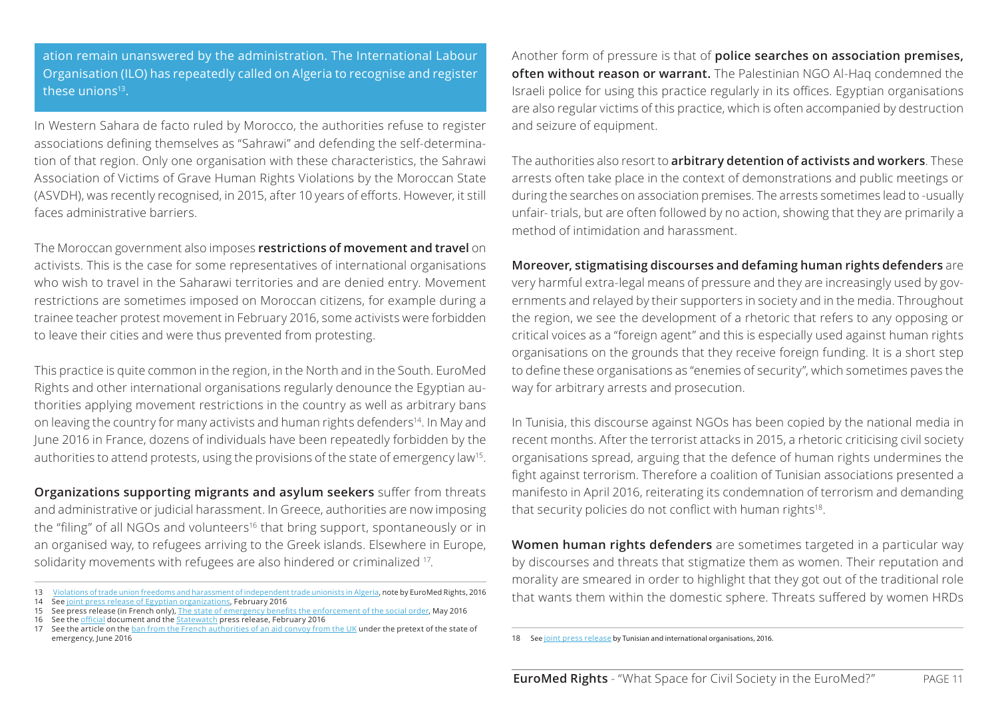ation remain unanswered by the administration. The International Labour Organisation (ILO) has repeatedly called on Algeria to recognise and register these unions<sup>13</sup>.

In Western Sahara de facto ruled by Morocco, the authorities refuse to register associations defining themselves as "Sahrawi" and defending the self-determination of that region. Only one organisation with these characteristics, the Sahrawi Association of Victims of Grave Human Rights Violations by the Moroccan State (ASVDH), was recently recognised, in 2015, after 10 years of efforts. However, it still faces administrative barriers.

The Moroccan government also imposes **restrictions of movement and travel** on activists. This is the case for some representatives of international organisations who wish to travel in the Saharawi territories and are denied entry. Movement restrictions are sometimes imposed on Moroccan citizens, for example during a trainee teacher protest movement in February 2016, some activists were forbidden to leave their cities and were thus prevented from protesting.

This practice is quite common in the region, in the North and in the South. EuroMed Rights and other international organisations regularly denounce the Egyptian authorities applying movement restrictions in the country as well as arbitrary bans on leaving the country for many activists and human rights defenders<sup>14</sup>. In May and June 2016 in France, dozens of individuals have been repeatedly forbidden by the authorities to attend protests, using the provisions of the state of emergency law15.

**Organizations supporting migrants and asylum seekers** suffer from threats and administrative or judicial harassment. In Greece, authorities are now imposing the "filing" of all NGOs and volunteers<sup>16</sup> that bring support, spontaneously or in an organised way, to refugees arriving to the Greek islands. Elsewhere in Europe, solidarity movements with refugees are also hindered or criminalized 17.

Another form of pressure is that of **police searches on association premises, often without reason or warrant.** The Palestinian NGO Al-Haq condemned the Israeli police for using this practice regularly in its offices. Egyptian organisations are also regular victims of this practice, which is often accompanied by destruction and seizure of equipment.

The authorities also resort to **arbitrary detention of activists and workers**. These arrests often take place in the context of demonstrations and public meetings or during the searches on association premises. The arrests sometimes lead to -usually unfair- trials, but are often followed by no action, showing that they are primarily a method of intimidation and harassment.

### **Moreover, stigmatising discourses and defaming human rights defenders** are

very harmful extra-legal means of pressure and they are increasingly used by governments and relayed by their supporters in society and in the media. Throughout the region, we see the development of a rhetoric that refers to any opposing or critical voices as a "foreign agent" and this is especially used against human rights organisations on the grounds that they receive foreign funding. It is a short step to define these organisations as "enemies of security", which sometimes paves the way for arbitrary arrests and prosecution.

In Tunisia, this discourse against NGOs has been copied by the national media in recent months. After the terrorist attacks in 2015, a rhetoric criticising civil society organisations spread, arguing that the defence of human rights undermines the fight against terrorism. Therefore a coalition of Tunisian associations presented a manifesto in April 2016, reiterating its condemnation of terrorism and demanding that security policies do not conflict with human rights<sup>18</sup>.

**Women human rights defenders** are sometimes targeted in a particular way by discourses and threats that stigmatize them as women. Their reputation and morality are smeared in order to highlight that they got out of the traditional role that wants them within the domestic sphere. Threats suffered by women HRDs

<sup>13</sup> [Violations of trade union freedoms and harassment of independent trade unionists in Algeria,](http://euromedrights.org/wp-content/uploads/2016/05/2016-05-25-Violations-of-trade-union-freedoms-and-harassment-of-independent-unionists-in-Algeria.pdf) note by EuroMed Rights, 2016<br>14 See <u>[joint press release of Egyptian organizations](http://euromedrights.org/publication/egypt-travel-bans-systematically-used-to-silence-human-rights-defenders-voices/)</u>, February 2016<br>15 See the <u>[official](http://www.statewatch.org/news/2016/mar/greek-registering-all-volunteers-and-NGOs.pdf)</u> docum

emergency, June 2016

See [joint press release](http://euromedrights.org/publication/tunisia-no-to-terrorism-yes-to-human-rights/) by Tunisian and international organisations, 2016.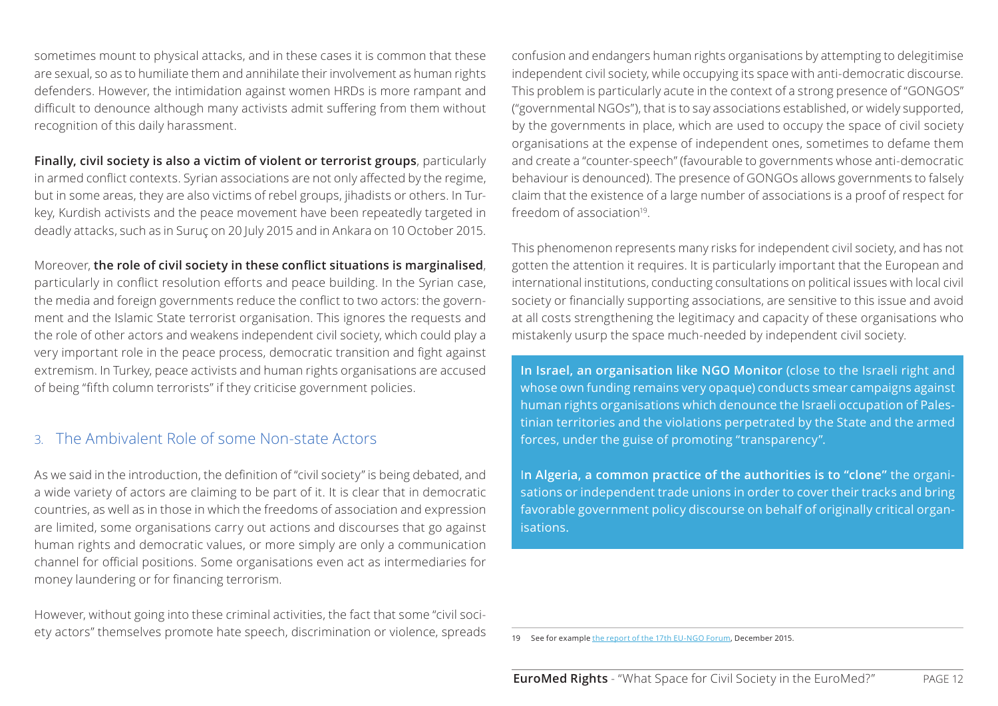<span id="page-11-0"></span>sometimes mount to physical attacks, and in these cases it is common that these are sexual, so as to humiliate them and annihilate their involvement as human rights defenders. However, the intimidation against women HRDs is more rampant and difficult to denounce although many activists admit suffering from them without recognition of this daily harassment.

**Finally, civil society is also a victim of violent or terrorist groups**, particularly in armed conflict contexts. Syrian associations are not only affected by the regime, but in some areas, they are also victims of rebel groups, jihadists or others. In Turkey, Kurdish activists and the peace movement have been repeatedly targeted in deadly attacks, such as in Suruç on 20 July 2015 and in Ankara on 10 October 2015.

Moreover, **the role of civil society in these conflict situations is marginalised**, particularly in conflict resolution efforts and peace building. In the Syrian case, the media and foreign governments reduce the conflict to two actors: the government and the Islamic State terrorist organisation. This ignores the requests and the role of other actors and weakens independent civil society, which could play a very important role in the peace process, democratic transition and fight against extremism. In Turkey, peace activists and human rights organisations are accused of being "fifth column terrorists" if they criticise government policies.

## 3. The Ambivalent Role of some Non-state Actors

As we said in the introduction, the definition of "civil society" is being debated, and a wide variety of actors are claiming to be part of it. It is clear that in democratic countries, as well as in those in which the freedoms of association and expression are limited, some organisations carry out actions and discourses that go against human rights and democratic values, or more simply are only a communication channel for official positions. Some organisations even act as intermediaries for money laundering or for financing terrorism.

However, without going into these criminal activities, the fact that some "civil society actors" themselves promote hate speech, discrimination or violence, spreads confusion and endangers human rights organisations by attempting to delegitimise independent civil society, while occupying its space with anti-democratic discourse. This problem is particularly acute in the context of a strong presence of "GONGOS" ("governmental NGOs"), that is to say associations established, or widely supported, by the governments in place, which are used to occupy the space of civil society organisations at the expense of independent ones, sometimes to defame them and create a "counter-speech" (favourable to governments whose anti-democratic behaviour is denounced). The presence of GONGOs allows governments to falsely claim that the existence of a large number of associations is a proof of respect for freedom of association<sup>19</sup>.

This phenomenon represents many risks for independent civil society, and has not gotten the attention it requires. It is particularly important that the European and international institutions, conducting consultations on political issues with local civil society or financially supporting associations, are sensitive to this issue and avoid at all costs strengthening the legitimacy and capacity of these organisations who mistakenly usurp the space much-needed by independent civil society.

**In Israel, an organisation like NGO Monitor** (close to the Israeli right and whose own funding remains very opaque) conducts smear campaigns against human rights organisations which denounce the Israeli occupation of Palestinian territories and the violations perpetrated by the State and the armed forces, under the guise of promoting "transparency".

I**n Algeria, a common practice of the authorities is to "clone"** the organisations or independent trade unions in order to cover their tracks and bring favorable government policy discourse on behalf of originally critical organisations.

See for example [the report of the 17th EU-NGO Forum](http://www.hrdn.eu/wp-content/uploads/2016/03/OSEPI-HRF-4-Low-res.pdf), December 2015.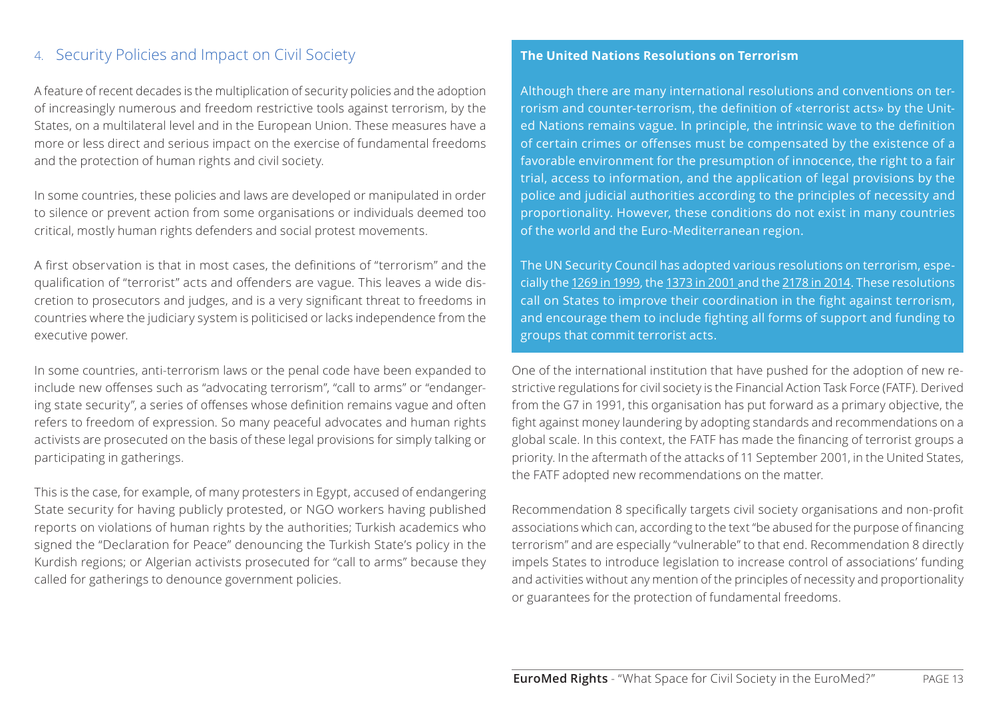## <span id="page-12-0"></span>4. Security Policies and Impact on Civil Society

A feature of recent decades is the multiplication of security policies and the adoption of increasingly numerous and freedom restrictive tools against terrorism, by the States, on a multilateral level and in the European Union. These measures have a more or less direct and serious impact on the exercise of fundamental freedoms and the protection of human rights and civil society.

In some countries, these policies and laws are developed or manipulated in order to silence or prevent action from some organisations or individuals deemed too critical, mostly human rights defenders and social protest movements.

A first observation is that in most cases, the definitions of "terrorism" and the qualification of "terrorist" acts and offenders are vague. This leaves a wide discretion to prosecutors and judges, and is a very significant threat to freedoms in countries where the judiciary system is politicised or lacks independence from the executive power.

In some countries, anti-terrorism laws or the penal code have been expanded to include new offenses such as "advocating terrorism", "call to arms" or "endangering state security", a series of offenses whose definition remains vague and often refers to freedom of expression. So many peaceful advocates and human rights activists are prosecuted on the basis of these legal provisions for simply talking or participating in gatherings.

This is the case, for example, of many protesters in Egypt, accused of endangering State security for having publicly protested, or NGO workers having published reports on violations of human rights by the authorities; Turkish academics who signed the "Declaration for Peace" denouncing the Turkish State's policy in the Kurdish regions; or Algerian activists prosecuted for "call to arms" because they called for gatherings to denounce government policies.

#### **The United Nations Resolutions on Terrorism**

Although there are many international resolutions and conventions on terrorism and counter-terrorism, the definition of «terrorist acts» by the United Nations remains vague. In principle, the intrinsic wave to the definition of certain crimes or offenses must be compensated by the existence of a favorable environment for the presumption of innocence, the right to a fair trial, access to information, and the application of legal provisions by the police and judicial authorities according to the principles of necessity and proportionality. However, these conditions do not exist in many countries of the world and the Euro-Mediterranean region.

The UN Security Council has adopted various resolutions on terrorism, especially the [1269 in 1999,](http://www.un.org/fr/documents/view_doc.asp?symbol=S/RES/1269(1999)) the [1373 in 200](http://www.un.org/fr/documents/view_doc.asp?symbol=S/RES/1373(2001))1 and the [2178 in 2014.](http://www.un.org/fr/documents/view_doc.asp?symbol=S/RES/2178(2014)) These resolutions call on States to improve their coordination in the fight against terrorism, and encourage them to include fighting all forms of support and funding to groups that commit terrorist acts.

One of the international institution that have pushed for the adoption of new restrictive regulations for civil society is the Financial Action Task Force (FATF). Derived from the G7 in 1991, this organisation has put forward as a primary objective, the fight against money laundering by adopting standards and recommendations on a global scale. In this context, the FATF has made the financing of terrorist groups a priority. In the aftermath of the attacks of 11 September 2001, in the United States, the FATF adopted new recommendations on the matter.

Recommendation 8 specifically targets civil society organisations and non-profit associations which can, according to the text "be abused for the purpose of financing terrorism" and are especially "vulnerable" to that end. Recommendation 8 directly impels States to introduce legislation to increase control of associations' funding and activities without any mention of the principles of necessity and proportionality or guarantees for the protection of fundamental freedoms.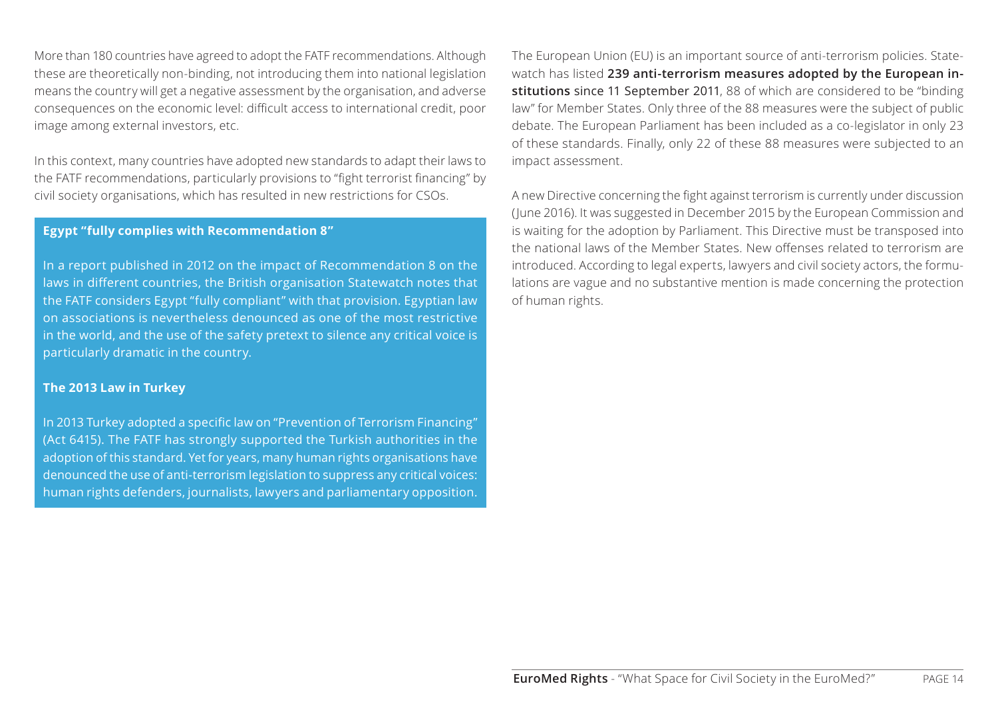More than 180 countries have agreed to adopt the FATF recommendations. Although these are theoretically non-binding, not introducing them into national legislation means the country will get a negative assessment by the organisation, and adverse consequences on the economic level: difficult access to international credit, poor image among external investors, etc.

In this context, many countries have adopted new standards to adapt their laws to the FATF recommendations, particularly provisions to "fight terrorist financing" by civil society organisations, which has resulted in new restrictions for CSOs.

### **Egypt "fully complies with Recommendation 8"**

In a report published in 2012 on the impact of Recommendation 8 on the laws in different countries, the British organisation Statewatch notes that the FATF considers Egypt "fully compliant" with that provision. Egyptian law on associations is nevertheless denounced as one of the most restrictive in the world, and the use of the safety pretext to silence any critical voice is particularly dramatic in the country.

### **The 2013 Law in Turkey**

In 2013 Turkey adopted a specific law on "Prevention of Terrorism Financing" (Act 6415). The FATF has strongly supported the Turkish authorities in the adoption of this standard. Yet for years, many human rights organisations have denounced the use of anti-terrorism legislation to suppress any critical voices: human rights defenders, journalists, lawyers and parliamentary opposition.

The European Union (EU) is an important source of anti-terrorism policies. Statewatch has listed **239 anti-terrorism measures adopted by the European institutions** since 11 September 2011, 88 of which are considered to be "binding law" for Member States. Only three of the 88 measures were the subject of public debate. The European Parliament has been included as a co-legislator in only 23 of these standards. Finally, only 22 of these 88 measures were subjected to an impact assessment.

A new Directive concerning the fight against terrorism is currently under discussion (June 2016). It was suggested in December 2015 by the European Commission and is waiting for the adoption by Parliament. This Directive must be transposed into the national laws of the Member States. New offenses related to terrorism are introduced. According to legal experts, lawyers and civil society actors, the formulations are vague and no substantive mention is made concerning the protection of human rights.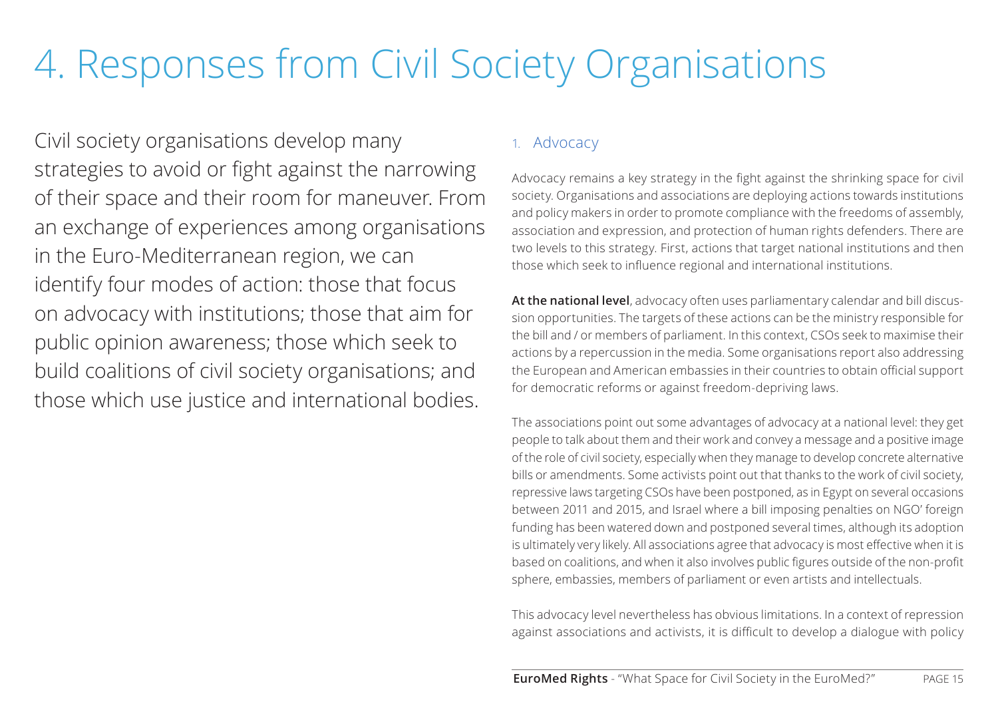## <span id="page-14-0"></span>4. Responses from Civil Society Organisations

Civil society organisations develop many strategies to avoid or fight against the narrowing of their space and their room for maneuver. From an exchange of experiences among organisations in the Euro-Mediterranean region, we can identify four modes of action: those that focus on advocacy with institutions; those that aim for public opinion awareness; those which seek to build coalitions of civil society organisations; and those which use justice and international bodies.

## 1. Advocacy

Advocacy remains a key strategy in the fight against the shrinking space for civil society. Organisations and associations are deploying actions towards institutions and policy makers in order to promote compliance with the freedoms of assembly, association and expression, and protection of human rights defenders. There are two levels to this strategy. First, actions that target national institutions and then those which seek to influence regional and international institutions.

**At the national level**, advocacy often uses parliamentary calendar and bill discussion opportunities. The targets of these actions can be the ministry responsible for the bill and / or members of parliament. In this context, CSOs seek to maximise their actions by a repercussion in the media. Some organisations report also addressing the European and American embassies in their countries to obtain official support for democratic reforms or against freedom-depriving laws.

The associations point out some advantages of advocacy at a national level: they get people to talk about them and their work and convey a message and a positive image of the role of civil society, especially when they manage to develop concrete alternative bills or amendments. Some activists point out that thanks to the work of civil society, repressive laws targeting CSOs have been postponed, as in Egypt on several occasions between 2011 and 2015, and Israel where a bill imposing penalties on NGO' foreign funding has been watered down and postponed several times, although its adoption is ultimately very likely. All associations agree that advocacy is most effective when it is based on coalitions, and when it also involves public figures outside of the non-profit sphere, embassies, members of parliament or even artists and intellectuals.

This advocacy level nevertheless has obvious limitations. In a context of repression against associations and activists, it is difficult to develop a dialogue with policy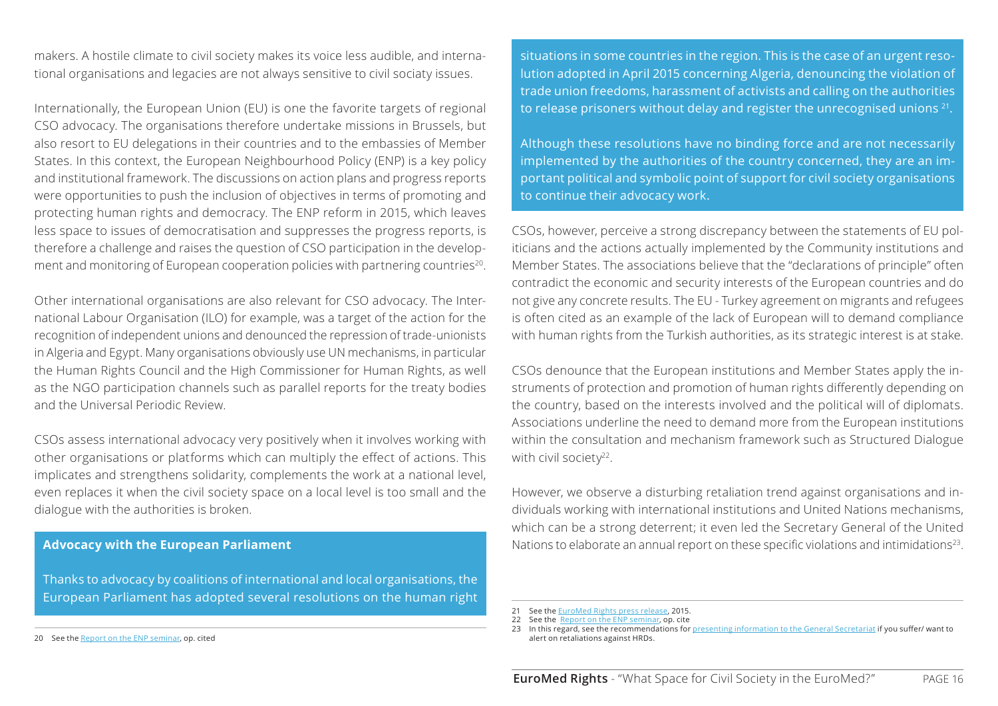makers. A hostile climate to civil society makes its voice less audible, and international organisations and legacies are not always sensitive to civil sociaty issues.

Internationally, the European Union (EU) is one the favorite targets of regional CSO advocacy. The organisations therefore undertake missions in Brussels, but also resort to EU delegations in their countries and to the embassies of Member States. In this context, the European Neighbourhood Policy (ENP) is a key policy and institutional framework. The discussions on action plans and progress reports were opportunities to push the inclusion of objectives in terms of promoting and protecting human rights and democracy. The ENP reform in 2015, which leaves less space to issues of democratisation and suppresses the progress reports, is therefore a challenge and raises the question of CSO participation in the development and monitoring of European cooperation policies with partnering countries<sup>20</sup>.

Other international organisations are also relevant for CSO advocacy. The International Labour Organisation (ILO) for example, was a target of the action for the recognition of independent unions and denounced the repression of trade-unionists in Algeria and Egypt. Many organisations obviously use UN mechanisms, in particular the Human Rights Council and the High Commissioner for Human Rights, as well as the NGO participation channels such as parallel reports for the treaty bodies and the Universal Periodic Review.

CSOs assess international advocacy very positively when it involves working with other organisations or platforms which can multiply the effect of actions. This implicates and strengthens solidarity, complements the work at a national level, even replaces it when the civil society space on a local level is too small and the dialogue with the authorities is broken.

### **Advocacy with the European Parliament**

Thanks to advocacy by coalitions of international and local organisations, the European Parliament has adopted several resolutions on the human right

situations in some countries in the region. This is the case of an urgent resolution adopted in April 2015 concerning Algeria, denouncing the violation of trade union freedoms, harassment of activists and calling on the authorities to release prisoners without delay and register the unrecognised unions<sup>21</sup>.

Although these resolutions have no binding force and are not necessarily implemented by the authorities of the country concerned, they are an important political and symbolic point of support for civil society organisations to continue their advocacy work.

CSOs, however, perceive a strong discrepancy between the statements of EU politicians and the actions actually implemented by the Community institutions and Member States. The associations believe that the "declarations of principle" often contradict the economic and security interests of the European countries and do not give any concrete results. The EU - Turkey agreement on migrants and refugees is often cited as an example of the lack of European will to demand compliance with human rights from the Turkish authorities, as its strategic interest is at stake.

CSOs denounce that the European institutions and Member States apply the instruments of protection and promotion of human rights differently depending on the country, based on the interests involved and the political will of diplomats. Associations underline the need to demand more from the European institutions within the consultation and mechanism framework such as Structured Dialogue with civil society<sup>22</sup>.

However, we observe a disturbing retaliation trend against organisations and individuals working with international institutions and United Nations mechanisms, which can be a strong deterrent; it even led the Secretary General of the United Nations to elaborate an annual report on these specific violations and intimidations<sup>23</sup>.

<sup>20</sup> See the [Report on the ENP seminar,](http://euromedrights.org/publication/what-space-for-civil-society-in-the-implementation-of-the-enp-south/) op. cited

<sup>21</sup> See the [EuroMed Rights press release](http://euromedrights.org/publication/european-parliament-passes-resolution-on-imprisonment-of-workers-and-human-rights-activists-in-algeria/), 2015.

<sup>22</sup> See the [Report on the ENP seminar,](http://euromedrights.org/publication/what-space-for-civil-society-in-the-implementation-of-the-enp-south/) op. cite

<sup>23</sup> In this regard, see the recommendations for [presenting information to the General Secretariat](https://docs.google.com/document/d/1ndJmwK2GiG728HW_qgDLNX60uc9aL2zbsFiZgVy2Cak/edit?pref=2&pli=1) if you suffer/ want to alert on retaliations against HRDs.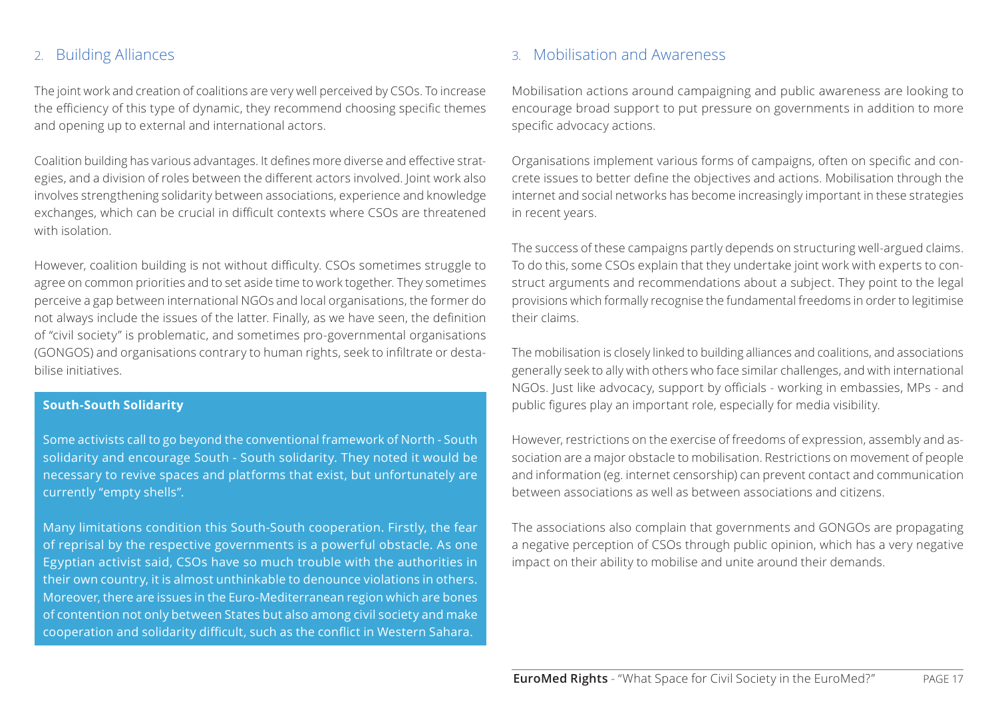### <span id="page-16-0"></span>2. Building Alliances

The joint work and creation of coalitions are very well perceived by CSOs. To increase the efficiency of this type of dynamic, they recommend choosing specific themes and opening up to external and international actors.

Coalition building has various advantages. It defines more diverse and effective strategies, and a division of roles between the different actors involved. Joint work also involves strengthening solidarity between associations, experience and knowledge exchanges, which can be crucial in difficult contexts where CSOs are threatened with isolation.

However, coalition building is not without difficulty. CSOs sometimes struggle to agree on common priorities and to set aside time to work together. They sometimes perceive a gap between international NGOs and local organisations, the former do not always include the issues of the latter. Finally, as we have seen, the definition of "civil society" is problematic, and sometimes pro-governmental organisations (GONGOS) and organisations contrary to human rights, seek to infiltrate or destabilise initiatives.

### **South-South Solidarity**

Some activists call to go beyond the conventional framework of North - South solidarity and encourage South - South solidarity. They noted it would be necessary to revive spaces and platforms that exist, but unfortunately are currently "empty shells".

Many limitations condition this South-South cooperation. Firstly, the fear of reprisal by the respective governments is a powerful obstacle. As one Egyptian activist said, CSOs have so much trouble with the authorities in their own country, it is almost unthinkable to denounce violations in others. Moreover, there are issues in the Euro-Mediterranean region which are bones of contention not only between States but also among civil society and make cooperation and solidarity difficult, such as the conflict in Western Sahara.

## 3. Mobilisation and Awareness

Mobilisation actions around campaigning and public awareness are looking to encourage broad support to put pressure on governments in addition to more specific advocacy actions.

Organisations implement various forms of campaigns, often on specific and concrete issues to better define the objectives and actions. Mobilisation through the internet and social networks has become increasingly important in these strategies in recent years.

The success of these campaigns partly depends on structuring well-argued claims. To do this, some CSOs explain that they undertake joint work with experts to construct arguments and recommendations about a subject. They point to the legal provisions which formally recognise the fundamental freedoms in order to legitimise their claims.

The mobilisation is closely linked to building alliances and coalitions, and associations generally seek to ally with others who face similar challenges, and with international NGOs. Just like advocacy, support by officials - working in embassies, MPs - and public figures play an important role, especially for media visibility.

However, restrictions on the exercise of freedoms of expression, assembly and association are a major obstacle to mobilisation. Restrictions on movement of people and information (eg. internet censorship) can prevent contact and communication between associations as well as between associations and citizens.

The associations also complain that governments and GONGOs are propagating a negative perception of CSOs through public opinion, which has a very negative impact on their ability to mobilise and unite around their demands.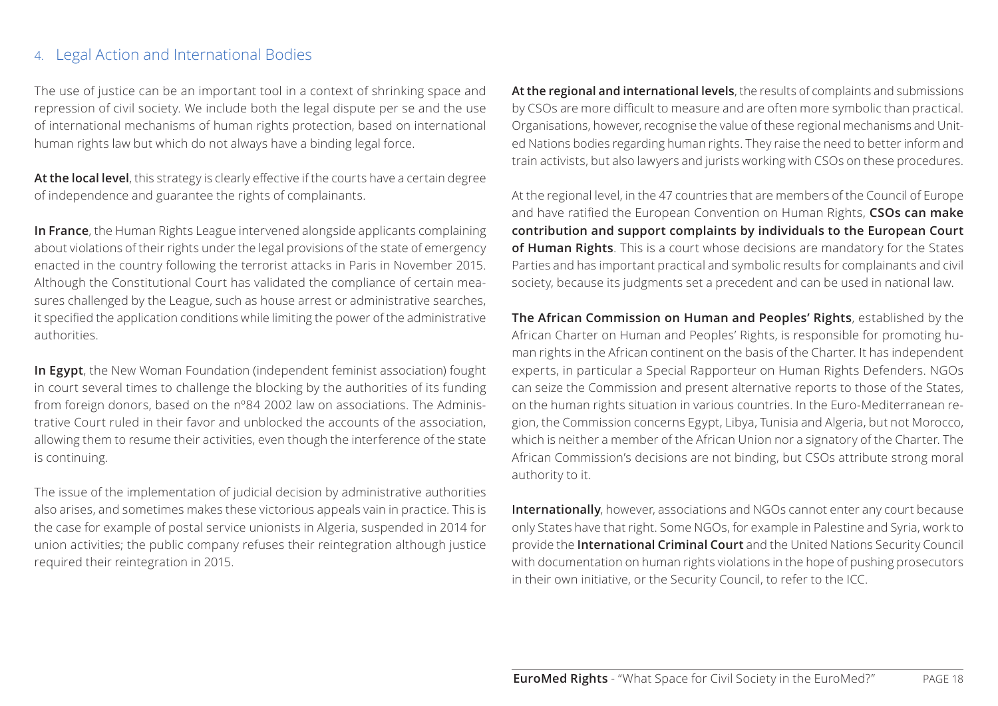## <span id="page-17-0"></span>4. Legal Action and International Bodies

The use of justice can be an important tool in a context of shrinking space and repression of civil society. We include both the legal dispute per se and the use of international mechanisms of human rights protection, based on international human rights law but which do not always have a binding legal force.

**At the local level**, this strategy is clearly effective if the courts have a certain degree of independence and guarantee the rights of complainants.

**In France**, the Human Rights League intervened alongside applicants complaining about violations of their rights under the legal provisions of the state of emergency enacted in the country following the terrorist attacks in Paris in November 2015. Although the Constitutional Court has validated the compliance of certain measures challenged by the League, such as house arrest or administrative searches, it specified the application conditions while limiting the power of the administrative authorities.

**In Egypt**, the New Woman Foundation (independent feminist association) fought in court several times to challenge the blocking by the authorities of its funding from foreign donors, based on the nº84 2002 law on associations. The Administrative Court ruled in their favor and unblocked the accounts of the association, allowing them to resume their activities, even though the interference of the state is continuing.

The issue of the implementation of judicial decision by administrative authorities also arises, and sometimes makes these victorious appeals vain in practice. This is the case for example of postal service unionists in Algeria, suspended in 2014 for union activities; the public company refuses their reintegration although justice required their reintegration in 2015.

**At the regional and international levels**, the results of complaints and submissions by CSOs are more difficult to measure and are often more symbolic than practical. Organisations, however, recognise the value of these regional mechanisms and United Nations bodies regarding human rights. They raise the need to better inform and train activists, but also lawyers and jurists working with CSOs on these procedures.

At the regional level, in the 47 countries that are members of the Council of Europe and have ratified the European Convention on Human Rights, **CSOs can make contribution and support complaints by individuals to the European Court of Human Rights**. This is a court whose decisions are mandatory for the States Parties and has important practical and symbolic results for complainants and civil society, because its judgments set a precedent and can be used in national law.

**The African Commission on Human and Peoples' Rights**, established by the African Charter on Human and Peoples' Rights, is responsible for promoting human rights in the African continent on the basis of the Charter. It has independent experts, in particular a Special Rapporteur on Human Rights Defenders. NGOs can seize the Commission and present alternative reports to those of the States, on the human rights situation in various countries. In the Euro-Mediterranean region, the Commission concerns Egypt, Libya, Tunisia and Algeria, but not Morocco, which is neither a member of the African Union nor a signatory of the Charter. The African Commission's decisions are not binding, but CSOs attribute strong moral authority to it.

**Internationally**, however, associations and NGOs cannot enter any court because only States have that right. Some NGOs, for example in Palestine and Syria, work to provide the **International Criminal Court** and the United Nations Security Council with documentation on human rights violations in the hope of pushing prosecutors in their own initiative, or the Security Council, to refer to the ICC.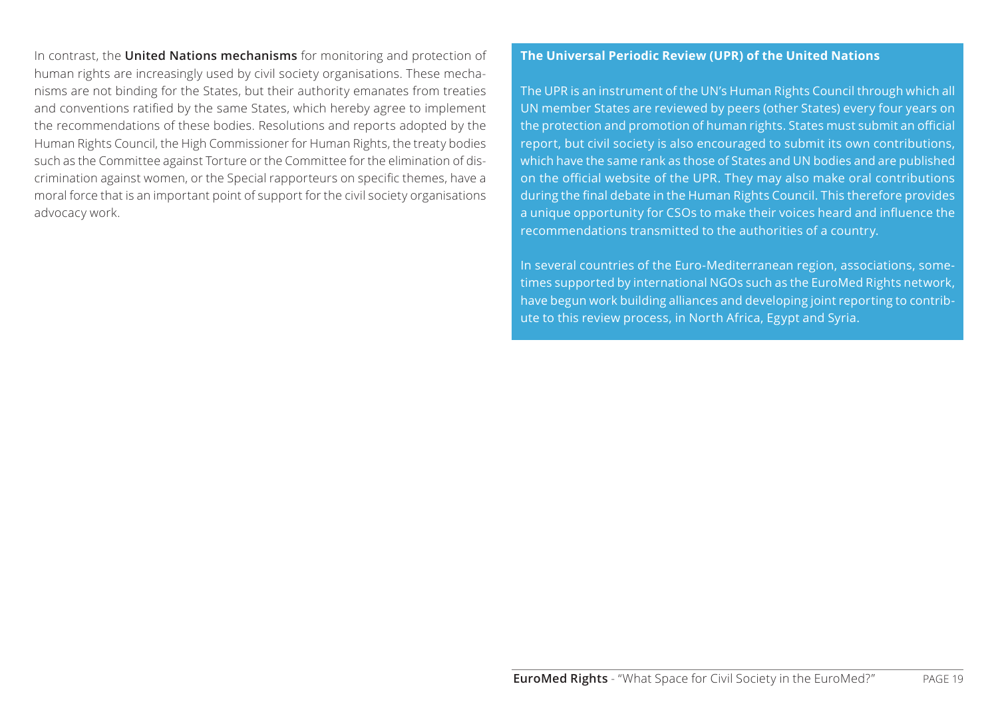In contrast, the **United Nations mechanisms** for monitoring and protection of human rights are increasingly used by civil society organisations. These mechanisms are not binding for the States, but their authority emanates from treaties and conventions ratified by the same States, which hereby agree to implement the recommendations of these bodies. Resolutions and reports adopted by the Human Rights Council, the High Commissioner for Human Rights, the treaty bodies such as the Committee against Torture or the Committee for the elimination of discrimination against women, or the Special rapporteurs on specific themes, have a moral force that is an important point of support for the civil society organisations advocacy work.

### **The Universal Periodic Review (UPR) of the United Nations**

The UPR is an instrument of the UN's Human Rights Council through which all UN member States are reviewed by peers (other States) every four years on the protection and promotion of human rights. States must submit an official report, but civil society is also encouraged to submit its own contributions, which have the same rank as those of States and UN bodies and are published on the official website of the UPR. They may also make oral contributions during the final debate in the Human Rights Council. This therefore provides a unique opportunity for CSOs to make their voices heard and influence the recommendations transmitted to the authorities of a country.

In several countries of the Euro-Mediterranean region, associations, sometimes supported by international NGOs such as the EuroMed Rights network, have begun work building alliances and developing joint reporting to contribute to this review process, in North Africa, Egypt and Syria.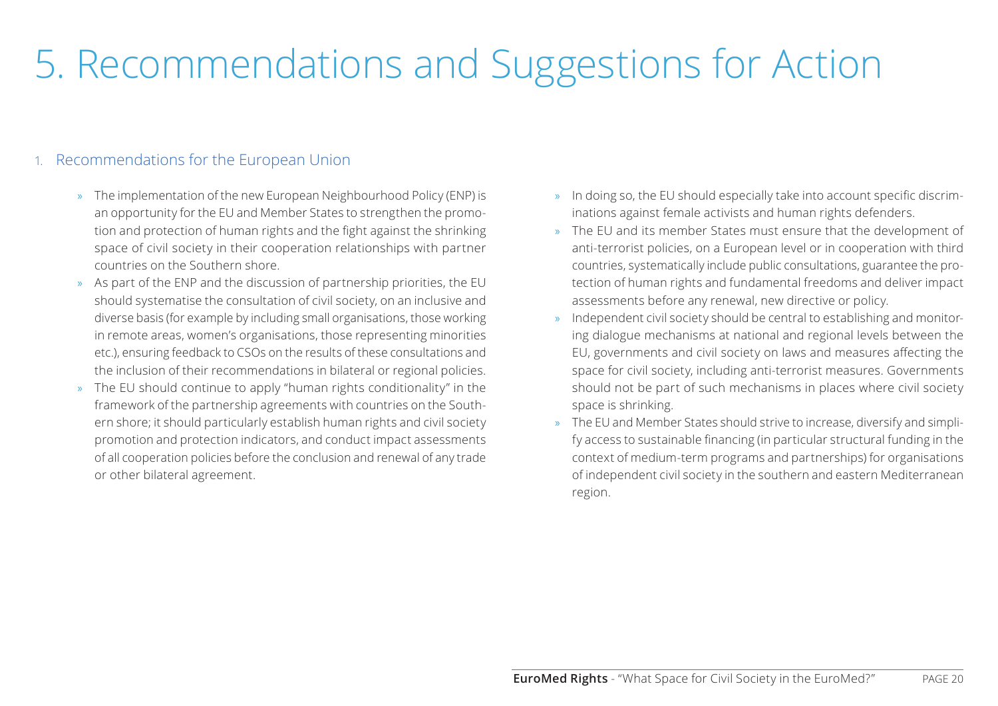## <span id="page-19-0"></span>5. Recommendations and Suggestions for Action

## 1. Recommendations for the European Union

- » The implementation of the new European Neighbourhood Policy (ENP) is an opportunity for the EU and Member States to strengthen the promotion and protection of human rights and the fight against the shrinking space of civil society in their cooperation relationships with partner countries on the Southern shore.
- » As part of the ENP and the discussion of partnership priorities, the EU should systematise the consultation of civil society, on an inclusive and diverse basis (for example by including small organisations, those working in remote areas, women's organisations, those representing minorities etc.), ensuring feedback to CSOs on the results of these consultations and the inclusion of their recommendations in bilateral or regional policies.
- » The EU should continue to apply "human rights conditionality" in the framework of the partnership agreements with countries on the Southern shore; it should particularly establish human rights and civil society promotion and protection indicators, and conduct impact assessments of all cooperation policies before the conclusion and renewal of any trade or other bilateral agreement.
- » In doing so, the EU should especially take into account specific discriminations against female activists and human rights defenders.
- » The EU and its member States must ensure that the development of anti-terrorist policies, on a European level or in cooperation with third countries, systematically include public consultations, guarantee the protection of human rights and fundamental freedoms and deliver impact assessments before any renewal, new directive or policy.
- » Independent civil society should be central to establishing and monitoring dialogue mechanisms at national and regional levels between the EU, governments and civil society on laws and measures affecting the space for civil society, including anti-terrorist measures. Governments should not be part of such mechanisms in places where civil society space is shrinking.
- » The EU and Member States should strive to increase, diversify and simplify access to sustainable financing (in particular structural funding in the context of medium-term programs and partnerships) for organisations of independent civil society in the southern and eastern Mediterranean region.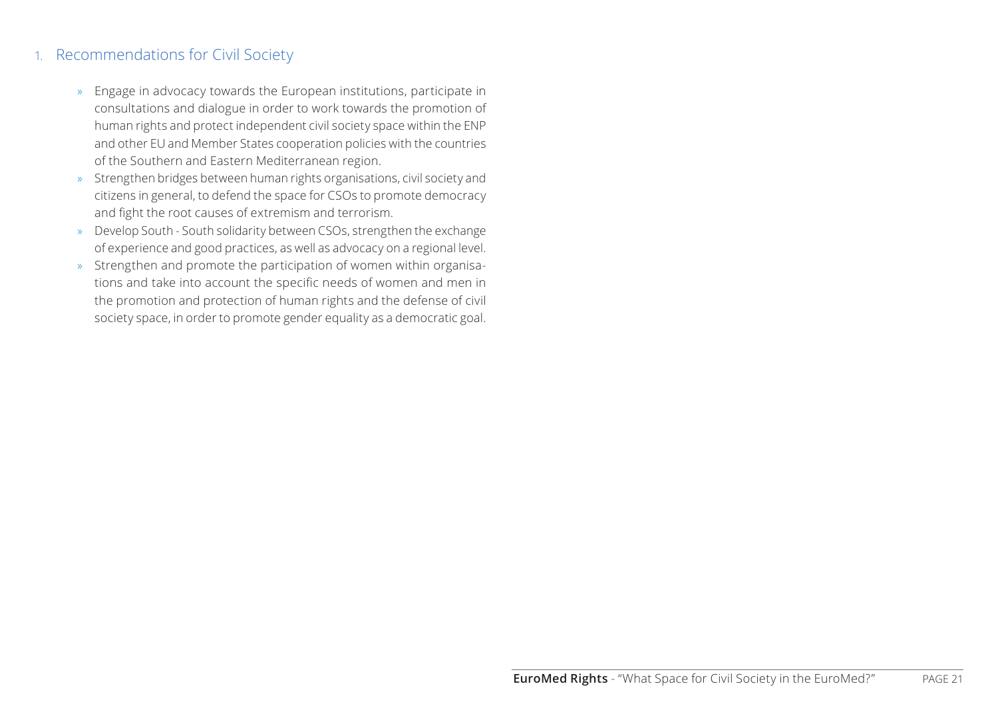## <span id="page-20-0"></span>1. Recommendations for Civil Society

- » Engage in advocacy towards the European institutions, participate in consultations and dialogue in order to work towards the promotion of human rights and protect independent civil society space within the ENP and other EU and Member States cooperation policies with the countries of the Southern and Eastern Mediterranean region.
- » Strengthen bridges between human rights organisations, civil society and citizens in general, to defend the space for CSOs to promote democracy and fight the root causes of extremism and terrorism.
- » Develop South South solidarity between CSOs, strengthen the exchange of experience and good practices, as well as advocacy on a regional level.
- » Strengthen and promote the participation of women within organisations and take into account the specific needs of women and men in the promotion and protection of human rights and the defense of civil society space, in order to promote gender equality as a democratic goal.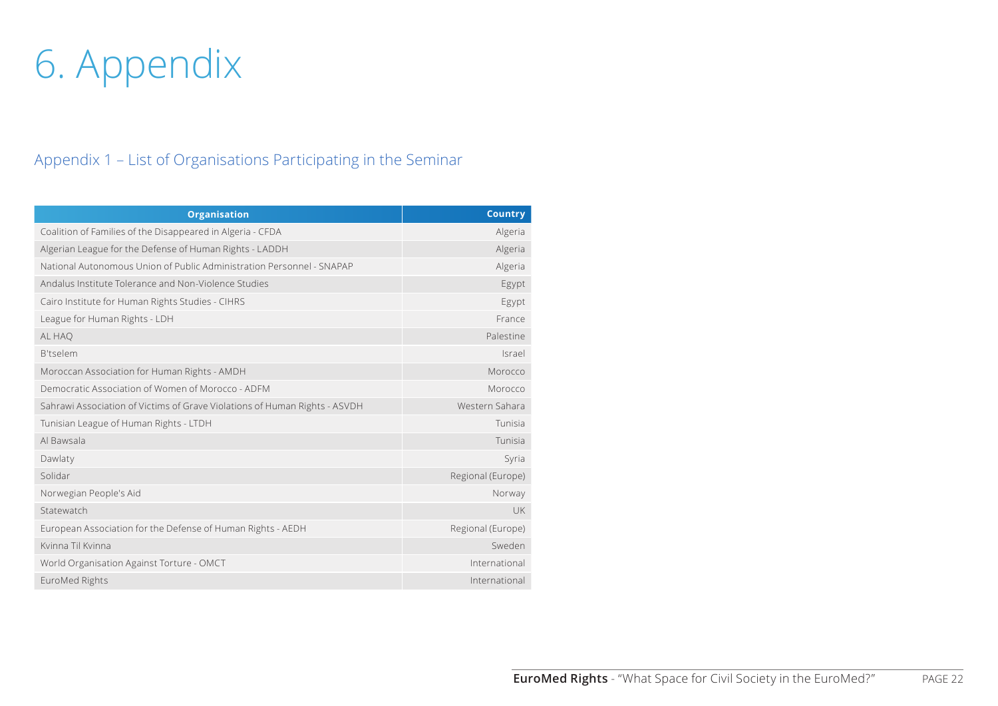# <span id="page-21-0"></span>6. Appendix

## Appendix 1 – List of Organisations Participating in the Seminar

| <b>Organisation</b>                                                        | <b>Country</b>    |
|----------------------------------------------------------------------------|-------------------|
| Coalition of Families of the Disappeared in Algeria - CFDA                 | Algeria           |
| Algerian League for the Defense of Human Rights - LADDH                    | Algeria           |
| National Autonomous Union of Public Administration Personnel - SNAPAP      | Algeria           |
| Andalus Institute Tolerance and Non-Violence Studies                       | Egypt             |
| Cairo Institute for Human Rights Studies - CIHRS                           | Egypt             |
| League for Human Rights - LDH                                              | France            |
| AL HAO                                                                     | Palestine         |
| <b>B'tselem</b>                                                            | Israel            |
| Moroccan Association for Human Rights - AMDH                               | Morocco           |
| Democratic Association of Women of Morocco - ADFM                          | Morocco           |
| Sahrawi Association of Victims of Grave Violations of Human Rights - ASVDH | Western Sahara    |
| Tunisian League of Human Rights - LTDH                                     | Tunisia           |
| Al Bawsala                                                                 | Tunisia           |
| Dawlaty                                                                    | Syria             |
| Solidar                                                                    | Regional (Europe) |
| Norwegian People's Aid                                                     | Norway            |
| Statewatch                                                                 | UK                |
| European Association for the Defense of Human Rights - AEDH                | Regional (Europe) |
| Kvinna Til Kvinna                                                          | Sweden            |
| World Organisation Against Torture - OMCT                                  | International     |
| EuroMed Rights                                                             | International     |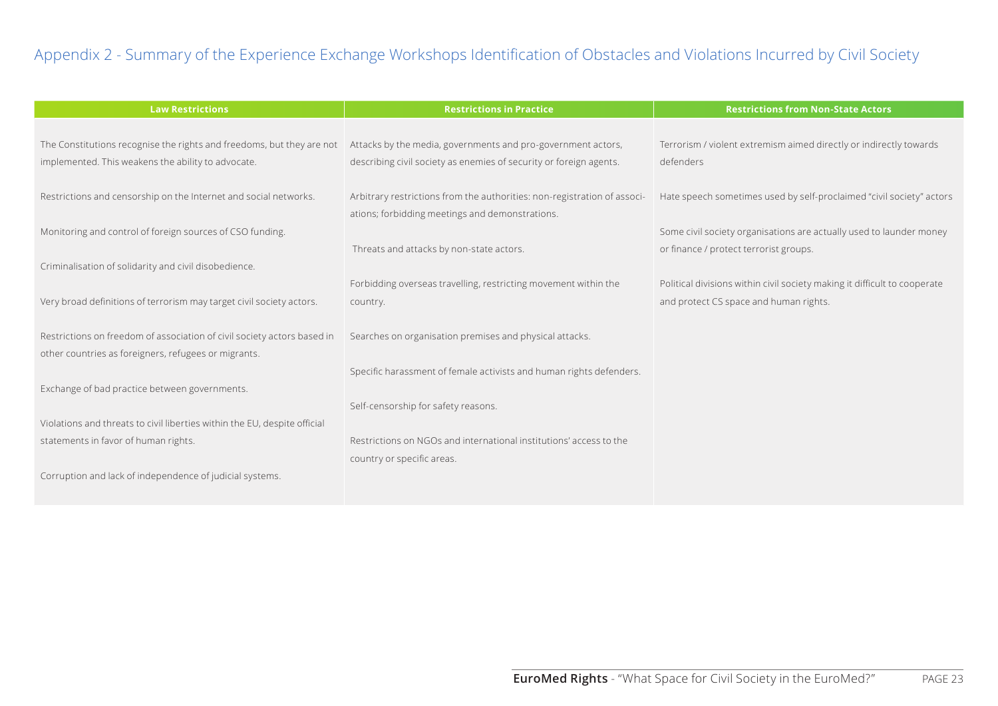## Appendix 2 - Summary of the Experience Exchange Workshops Identification of Obstacles and Violations Incurred by Civil Society

| <b>Law Restrictions</b>                                                                                                         | <b>Restrictions in Practice</b>                                                                                                    | <b>Restrictions from Non-State Actors</b>                                                                           |
|---------------------------------------------------------------------------------------------------------------------------------|------------------------------------------------------------------------------------------------------------------------------------|---------------------------------------------------------------------------------------------------------------------|
| The Constitutions recognise the rights and freedoms, but they are not<br>implemented. This weakens the ability to advocate.     | Attacks by the media, governments and pro-government actors,<br>describing civil society as enemies of security or foreign agents. | Terrorism / violent extremism aimed directly or indirectly towards<br>defenders                                     |
| Restrictions and censorship on the Internet and social networks.                                                                | Arbitrary restrictions from the authorities: non-registration of associ-<br>ations; forbidding meetings and demonstrations.        | Hate speech sometimes used by self-proclaimed "civil society" actors                                                |
| Monitoring and control of foreign sources of CSO funding.                                                                       |                                                                                                                                    | Some civil society organisations are actually used to launder money                                                 |
|                                                                                                                                 | Threats and attacks by non-state actors.                                                                                           | or finance / protect terrorist groups.                                                                              |
| Criminalisation of solidarity and civil disobedience.                                                                           |                                                                                                                                    |                                                                                                                     |
| Very broad definitions of terrorism may target civil society actors.                                                            | Forbidding overseas travelling, restricting movement within the<br>country.                                                        | Political divisions within civil society making it difficult to cooperate<br>and protect CS space and human rights. |
| Restrictions on freedom of association of civil society actors based in<br>other countries as foreigners, refugees or migrants. | Searches on organisation premises and physical attacks.                                                                            |                                                                                                                     |
|                                                                                                                                 | Specific harassment of female activists and human rights defenders.                                                                |                                                                                                                     |
| Exchange of bad practice between governments.                                                                                   |                                                                                                                                    |                                                                                                                     |
| Violations and threats to civil liberties within the EU, despite official                                                       | Self-censorship for safety reasons.                                                                                                |                                                                                                                     |
| statements in favor of human rights.                                                                                            | Restrictions on NGOs and international institutions' access to the                                                                 |                                                                                                                     |
| Corruption and lack of independence of judicial systems.                                                                        | country or specific areas.                                                                                                         |                                                                                                                     |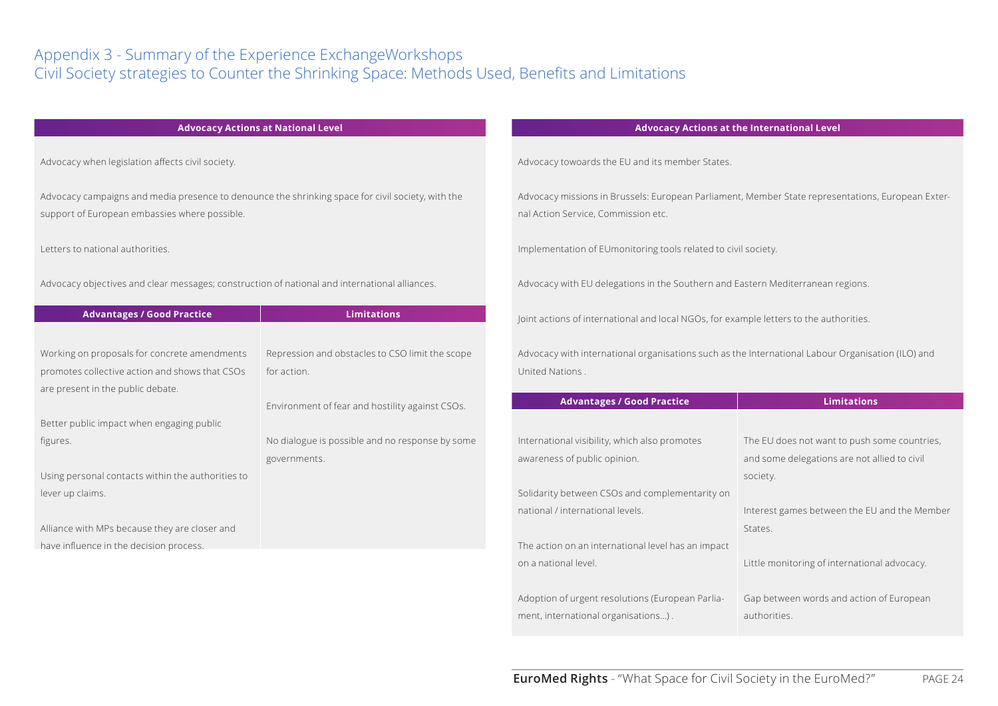## Appendix 3 - Summary of the Experience ExchangeWorkshops Civil Society strategies to Counter the Shrinking Space: Methods Used, Benefits and Limitations

| Advocacy Actions at National Level |  |
|------------------------------------|--|
|------------------------------------|--|

Advocacy when legislation affects civil society.

Advocacy campaigns and media presence to denounce the shrinking space for civil society, with the support of European embassies where possible.

Letters to national authorities.

Advocacy objectives and clear messages; construction of national and international alliances.

| <b>Advantages / Good Practice</b>                 | <b>Limitations</b>                              |
|---------------------------------------------------|-------------------------------------------------|
|                                                   |                                                 |
| Working on proposals for concrete amendments      | Repression and obstacles to CSO limit the scope |
| promotes collective action and shows that CSOs    | for action.                                     |
| are present in the public debate.                 |                                                 |
|                                                   | Environment of fear and hostility against CSOs. |
| Better public impact when engaging public         |                                                 |
| figures.                                          | No dialogue is possible and no response by some |
|                                                   | governments.                                    |
| Using personal contacts within the authorities to |                                                 |
| lever up claims.                                  |                                                 |
|                                                   |                                                 |
| Alliance with MPs because they are closer and     |                                                 |
| have influence in the decision process.           |                                                 |
|                                                   |                                                 |

#### **Advocacy Actions at the International Level**

Advocacy towoards the EU and its member States.

Advocacy missions in Brussels: European Parliament, Member State representations, European External Action Service, Commission etc.

Implementation of EUmonitoring tools related to civil society.

Advocacy with EU delegations in the Southern and Eastern Mediterranean regions.

Joint actions of international and local NGOs, for example letters to the authorities.

Advocacy with international organisations such as the International Labour Organisation (ILO) and United Nations .

| <b>Advantages / Good Practice</b>                  | <b>Limitations</b>                           |
|----------------------------------------------------|----------------------------------------------|
|                                                    |                                              |
| International visibility, which also promotes      | The EU does not want to push some countries, |
| awareness of public opinion.                       | and some delegations are not allied to civil |
|                                                    | society.                                     |
| Solidarity between CSOs and complementarity on     |                                              |
| national / international levels.                   | Interest games between the EU and the Member |
|                                                    | States.                                      |
| The action on an international level has an impact |                                              |
| on a national level.                               | Little monitoring of international advocacy. |
|                                                    |                                              |
| Adoption of urgent resolutions (European Parlia-   | Gap between words and action of European     |
| ment, international organisations).                | authorities.                                 |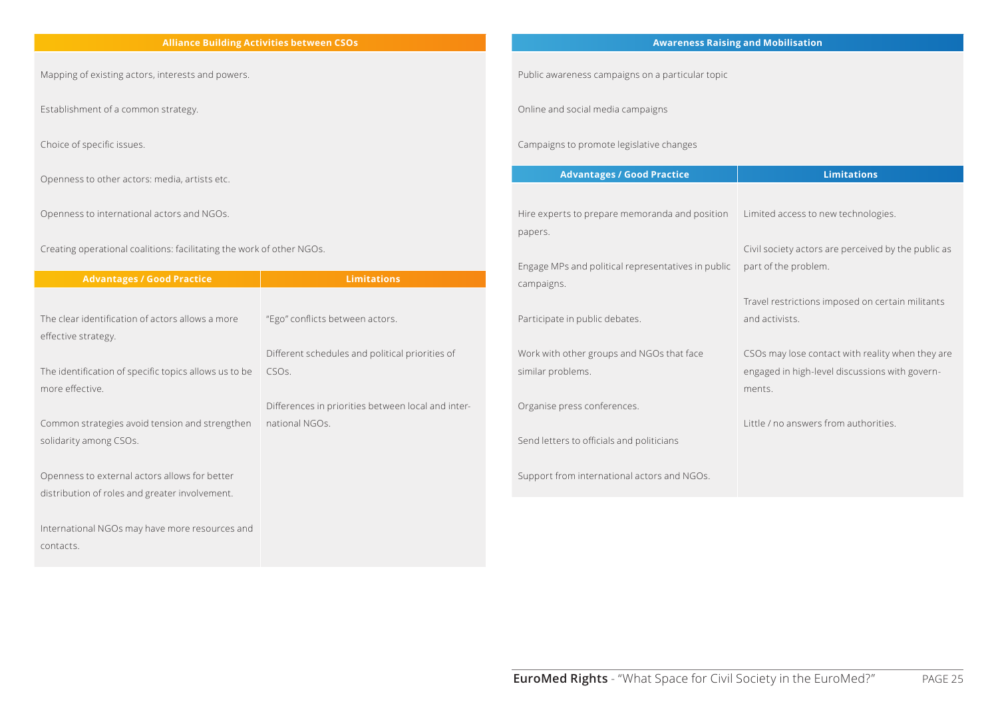#### **Alliance Building Activities between CSOs**

Mapping of existing actors, interests and powers.

Establishment of a common strategy.

Choice of specific issues.

Openness to other actors: media, artists etc.

Openness to international actors and NGOs.

Creating operational coalitions: facilitating the work of other NGOs.

| <b>Advantages / Good Practice</b>                     | <b>Limitations</b>                                 |
|-------------------------------------------------------|----------------------------------------------------|
|                                                       |                                                    |
| The clear identification of actors allows a more      | "Ego" conflicts between actors.                    |
| effective strategy.                                   |                                                    |
|                                                       | Different schedules and political priorities of    |
| The identification of specific topics allows us to be | CSO <sub>S</sub> .                                 |
| more effective.                                       |                                                    |
|                                                       | Differences in priorities between local and inter- |
| Common strategies avoid tension and strengthen        | national NGOs.                                     |
| solidarity among CSOs.                                |                                                    |
|                                                       |                                                    |
| Openness to external actors allows for better         |                                                    |
| distribution of roles and greater involvement.        |                                                    |
|                                                       |                                                    |
| International NGOs may have more resources and        |                                                    |
| contacts.                                             |                                                    |

#### **Awareness Raising and Mobilisation**

Public awareness campaigns on a particular topic

Online and social media campaigns

Campaigns to promote legislative changes

| <b>Advantages / Good Practice</b>                  | <b>Limitations</b>                                       |
|----------------------------------------------------|----------------------------------------------------------|
|                                                    |                                                          |
| Hire experts to prepare memoranda and position     | Limited access to new technologies.                      |
| papers.                                            |                                                          |
|                                                    | Civil society actors are perceived by the public as      |
| Engage MPs and political representatives in public | part of the problem.                                     |
| campaigns.                                         |                                                          |
|                                                    | Travel restrictions imposed on certain militants         |
| Participate in public debates.                     | and activists.                                           |
|                                                    |                                                          |
| Work with other groups and NGOs that face          | CSOs may lose contact with reality when they are         |
| similar problems.                                  | engaged in high-level discussions with govern-<br>ments. |
| Organise press conferences.                        |                                                          |
|                                                    | Little / no answers from authorities.                    |
| Send letters to officials and politicians          |                                                          |
|                                                    |                                                          |
| Support from international actors and NGOs.        |                                                          |
|                                                    |                                                          |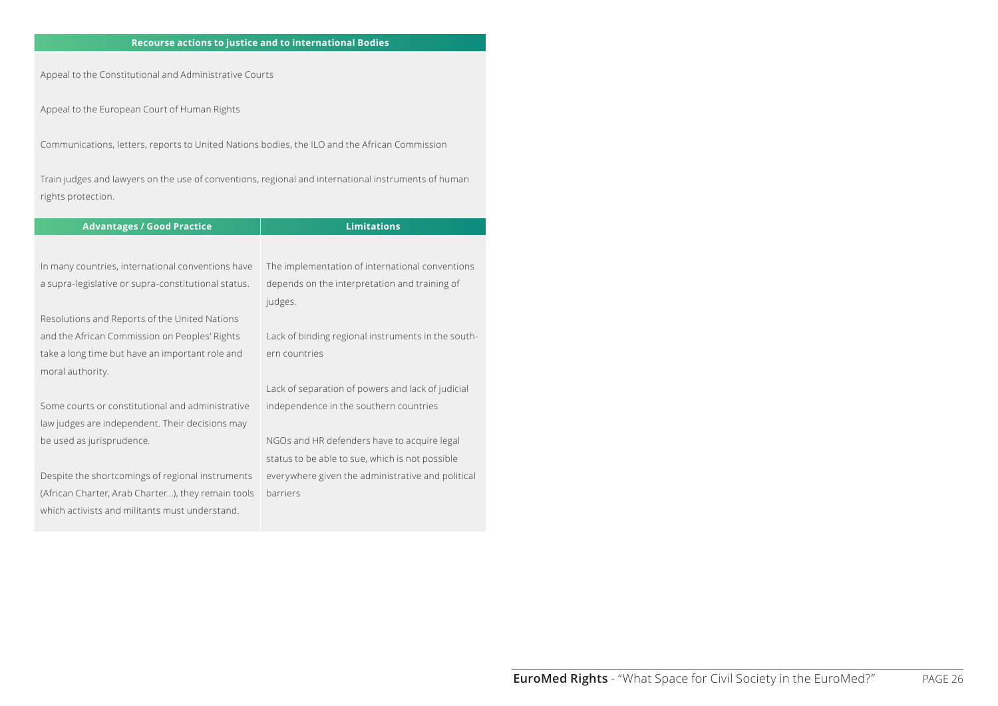#### **Recourse actions to justice and to international Bodies**

Appeal to the Constitutional and Administrative Courts

Appeal to the European Court of Human Rights

Communications, letters, reports to United Nations bodies, the ILO and the African Commission

Train judges and lawyers on the use of conventions, regional and international instruments of human rights protection.

| <b>Advantages / Good Practice</b>                   | <b>Limitations</b>                                 |
|-----------------------------------------------------|----------------------------------------------------|
|                                                     |                                                    |
| In many countries, international conventions have   | The implementation of international conventions    |
| a supra-legislative or supra-constitutional status. | depends on the interpretation and training of      |
|                                                     | judges.                                            |
| Resolutions and Reports of the United Nations       |                                                    |
| and the African Commission on Peoples' Rights       | Lack of binding regional instruments in the south- |
| take a long time but have an important role and     | ern countries                                      |
| moral authority.                                    |                                                    |
|                                                     | Lack of separation of powers and lack of judicial  |
| Some courts or constitutional and administrative    | independence in the southern countries             |
| law judges are independent. Their decisions may     |                                                    |
| be used as jurisprudence.                           | NGOs and HR defenders have to acquire legal        |
|                                                     | status to be able to sue, which is not possible    |
| Despite the shortcomings of regional instruments    | everywhere given the administrative and political  |
| (African Charter, Arab Charter), they remain tools  | barriers                                           |
| which activists and militants must understand.      |                                                    |
|                                                     |                                                    |